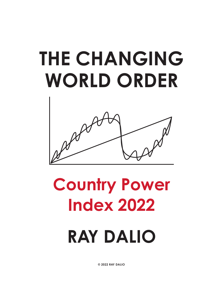# **THE CHANGING WORLD ORDER**



## **Country Power Index 2022**

**RAY DALIO**

**© 2022 RAY DALIO**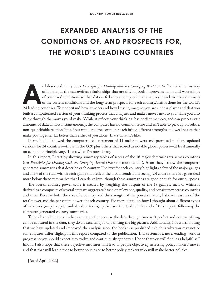### **EXPANDED ANALYSIS OF THE CONDITIONS OF, AND PROSPECTS FOR, THE WORLD'S LEADING COUNTRIES**

<sup>8</sup> I described in my book *Principles for Dealing with the Changing World Order*, I automated my way of looking at the cause/effect relationships that are driving both improvements in and worsenings of countries' conditio of looking at the cause/effect relationships that are driving both improvements in and worsenings of countries' conditions so that data is fed into a computer that analyzes it and writes a summary of the current conditions and the long-term prospects for each country. This is done for the world's 24 leading countries. To understand how it works and how I use it, imagine you are a chess player and that you built a computerized version of your thinking process that analyzes and makes moves next to you while you also think through the moves you'd make. While it reflects your thinking, has perfect memory, and can process vast amounts of data almost instantaneously, the computer has no common sense and isn't able to pick up on subtle, non-quantifiable relationships. Your mind and the computer each bring different strengths and weaknesses that make you together far better than either of you alone. That's what it's like.

In my book I showed the computerized assessment of 11 major powers and promised to share updated versions for 24 countries—those in the G20 plus others that scored as notable global powers—at least annually on economicprinciples.org. That's what I'm now doing.

In this report, I start by showing summary tables of scores of the 18 major determinants across countries (see *Principles for Dealing with the Changing World Order* for more details). After that, I show the computergenerated summaries that describe each country. The text for each country highlights a few of the major gauges and a few of the stats within each gauge that reflect the broad trends I am seeing. Of course there is a great deal more below these summaries that I can delve into, though these summaries are good enough for our purposes.

The overall country power score is created by weighing the outputs of the 18 gauges, each of which is derived as a composite of several stats we aggregate based on relevance, quality, and consistency across countries and time. Because both the size of a country and the strength of the powers matter, I show measures of the total power and the per capita power of each country. For more detail on how I thought about different types of measures (in per capita and absolute terms), please see the table at the end of this report, following the computer-generated country summaries.

To be clear, while these indices aren't perfect because the data through time isn't perfect and not everything can be captured in the data, they do an excellent job of painting the big picture. Additionally, it is worth noting that we have updated and improved the analysis since the book was published, which is why you may notice some figures differ slightly in this report compared to the publication. This system is a never-ending work in progress so you should expect it to evolve and continuously get better. I hope that you will find it as helpful as I find it. I also hope that these objective measures will lead to people objectively assessing policy makers' moves and that that will lead either to better policies or to better policy makers who will make better policies.

[As of April 2022]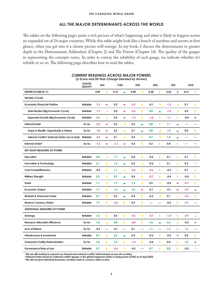#### **ALL THE MAJOR DETERMINANTS ACROSS THE WORLD**

The tables on the following pages paint a rich picture of what's happening and what is likely to happen across an expanded set of 24 major countries. While this table might look like a bunch of numbers and arrows at first glance, when you get into it a clearer picture will emerge. In my book, I discuss the determinants in greater depth in the Determinants Addendum (Chapter 2) and The Future (Chapter 14). The quality of the gauges in representing the concepts varies. In order to convey the reliability of each gauge, we indicate whether it's reliable or so-so. The following page describes how to read the tables.

|                                                             | (Z-Score and 20-Year Change Denoted by Arrows) |            |                          |            |                          |            |                          |            |                  |            |                          |                |                          |
|-------------------------------------------------------------|------------------------------------------------|------------|--------------------------|------------|--------------------------|------------|--------------------------|------------|------------------|------------|--------------------------|----------------|--------------------------|
|                                                             | <b>GAUGE</b><br><b>QUALITY</b>                 | <b>USA</b> |                          | <b>CHN</b> |                          | <b>EUR</b> |                          | <b>DEU</b> |                  | <b>JPN</b> |                          | <b>KOR</b>     |                          |
| <b>EMPIRE SCORE (0-1)</b>                                   |                                                | 0.89       | z                        | 0.76       | ▲                        | 0.58       | z                        | 0.38       | ь                | 0.33       | $\overline{\phantom{0}}$ | 0.31           | ◥                        |
| THE BIG CYCLES                                              |                                                |            |                          |            |                          |            |                          |            |                  |            |                          |                |                          |
| <b>Economic/Financial Position</b>                          | <b>Reliable</b>                                | $-1.5$     | ▼                        | 0.3        | ▼                        | $-0.9$     | Þ                        | $-0.1$     | ◥                | $-1.3$     | ◢                        | 0.1            | ◢                        |
| Debt Burden (Big Economic Cycle)                            | <b>Reliable</b>                                | $-1.9$     | ◢                        | 0.0        | $\blacktriangledown$     | $-0.6$     | Y                        | 0.8        | ▲                | $-1.0$     | ◢                        | 0.5            | Þ                        |
| <b>Expected Growth (Big Economic Cycle)</b>                 | <b>Reliable</b>                                | $-0.6$     | z                        | 0.4        | $\overline{\phantom{0}}$ | $-1.0$     | ь                        | $-1.0$     | У                | $-1.1$     | ь                        | $-0.4$         | ÷                        |
| <b>Internal Order</b>                                       | So-So                                          | $-2.0$     | $\overline{\phantom{0}}$ | 0.2        | ◢                        | 0.2        | ▲                        | 0.8        | N                | 1.1        | ▲                        | ---            | $ -$                     |
| <b>Gaps in Wealth, Opportunity &amp; Values</b>             | So-So                                          | $-1.8$     | $\overline{\phantom{0}}$ | 0.2        | ◢                        | 0.1        | ▲                        | 0.8        | ◢                | 1.0        | ▲                        | 0.0            | $\blacktriangleright$    |
| Internal Conflict <sup>1</sup> (Internal Order; low is bad) | <b>Reliable</b>                                | $-2.2$     | $\overline{\phantom{0}}$ | 0.1        | ◢                        | 0.3        | Y                        | 0.7        | $\blacksquare$   | 1.2        | ▲                        | $\overline{a}$ | $\overline{\phantom{a}}$ |
| External Order <sup>2</sup>                                 | So-So                                          | $-1.3$     | $\overline{\phantom{0}}$ | $-1.3$     | $\blacktriangledown$     | 0.3        | ¥                        | 0.3        | N                | 0.4        | Þ                        | $---$          | $- - -$                  |
| <b>KEY EIGHT MEASURES OF POWER</b>                          |                                                |            |                          |            |                          |            |                          |            |                  |            |                          |                |                          |
| <b>Education</b>                                            | <b>Reliable</b>                                | 2.0        | ◢                        | 1.7        | $\blacktriangle$         | 0.4        | Þ                        | $-0.2$     | N                | 0.1        | Þ                        | 0.1            | Þ                        |
| Innovation & Technology                                     | <b>Reliable</b>                                | 2.1        | $\blacktriangleright$    | 1.6        | ▲                        | 0.2        | ◢                        | $-0.2$     | Þ                | 0.1        | ◢                        | 0.2            | ◥                        |
| <b>Cost Competitiveness</b>                                 | <b>Reliable</b>                                | $-0.4$     | ь                        | 1.1        | ◢                        | $-0.6$     | N                        | $-0.6$     | ь                | $-0.3$     | Þ                        | 0.1            | ь                        |
| <b>Military Strength</b>                                    | <b>Reliable</b>                                | 2.0        | ◢                        | 0.9        | $\blacktriangle$         | 0.4        | $\blacktriangleright$    | $-0.7$     | Y.               | $-0.4$     | $\blacktriangleright$    | $-0.4$         | Þ                        |
| Trade                                                       | <b>Reliable</b>                                | 1.1        | ◢                        | 1.9        | ▲                        | 1.3        | ◢                        | 0.5        | ◢                | $-0.5$     | $\blacktriangledown$     | $-0.7$         | ь                        |
| <b>Economic Output</b>                                      | <b>Reliable</b>                                | 1.7        | Þ.                       | 1.5        | $\blacktriangle$         | 1.0        | $\overline{\phantom{0}}$ | $-0.1$     | ◢                | $-0.1$     | $\overline{\phantom{0}}$ | $-0.9$         | ▲                        |
| <b>Markets &amp; Financial Center</b>                       | <b>Reliable</b>                                | 2.7        | Þ                        | 0.2        | ▲                        | 0.4        | Þ                        | $-0.2$     | ◢                | 0.1        | ◢                        | $-0.6$         | ь                        |
| Reserve Currency Status <sup>3</sup>                        | <b>Reliable</b>                                | 1.9        | ь                        | $-0.6$     | Þ                        | 0.3        | Þ                        | ---        | ---              | $-0.5$     | Þ                        | $-0.7$         | $\overline{a}$           |
| <b>ADDITIONAL MEASURES OF POWER</b>                         |                                                |            |                          |            |                          |            |                          |            |                  |            |                          |                |                          |
| Geology                                                     | <b>Reliable</b>                                | 1.6        | Þ                        | 0.5        | N                        | $-0.6$     | $\blacksquare$           | $-0.7$     | N                | $-1.0$     | Þ                        | $-0.9$         | ◢                        |
| <b>Resource-Allocation Efficiency</b>                       | So-So                                          | 1.4        | ◢                        | 0.8        | N                        | $-0.8$     | Y                        | 1.0        | $\blacktriangle$ | 0.6        | ◢                        | $-0.5$         | ▼                        |
| <b>Acts of Nature</b>                                       | So-So                                          | $-0.2$     | $---$                    | $-0.1$     | ---                      | 0.1        | ---                      | 1.1        | $\overline{a}$   | 1.5        | ---                      | 1.6            | ---                      |
| Infrastructure & Investment                                 | <b>Reliable</b>                                | 0.7        | ◢                        | 2.6        | ▲                        | 0.4        | Þ                        | $-0.3$     | Þ.               | $-0.2$     | $\overline{\phantom{0}}$ | 0.0            | $\blacktriangleright$    |
| Character/Civility/Determination                            | So-So                                          | 1.0        | ь                        | 1.6        | У                        | $-1.0$     | Þ                        | $-0.4$     | N                | 0.4        | ◢                        | 1.0            | $\overline{\phantom{a}}$ |
| Governance/Rule of Law                                      | <b>Reliable</b>                                | 0.7        | ь                        | $-0.6$     | ◥                        | $-0.5$     | $\overline{a}$           | 0.7        | Þ                | 0.8        | Þ                        | $-0.2$         | ◥                        |

**CURRENT READINGS ACROSS MAJOR POWERS**

**1 We are still working to expand our internal and external conflict determinants across all countries.** 

**2 External Order based on external conflict gauge vs the global hegemon (USA) or rising power (CHN) as of April 2022.**

**3 We did not give individual Eurozone countries reserve currency status scores.**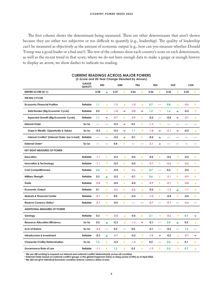The first column shows the determinant being measured. There are other determinants that aren't shown because they are either too subjective or too difficult to quantify (e.g., leadership). The quality of leadership can't be measured as objectively as the amount of economic output (e.g., how can you measure whether Donald Trump was a good leader or a bad one?). The rest of the columns show each country's score on each determinant, as well as the recent trend in that score; where we do not have enough data to make a gauge or enough history to display an arrow, we show dashes to indicate no reading.

|                                                             | <b>GAUGE</b><br><b>QUALITY</b> | <b>IND</b>               |                      | <b>GBR</b> |                          | <b>FRA</b>     |                          | <b>RUS</b> |                          | <b>SGP</b>    |                          | <b>CAN</b> |       |
|-------------------------------------------------------------|--------------------------------|--------------------------|----------------------|------------|--------------------------|----------------|--------------------------|------------|--------------------------|---------------|--------------------------|------------|-------|
| <b>EMPIRE SCORE (0-1)</b>                                   |                                | 0.28                     | ▲                    | 0.27       | ь                        | 0.26           | ь                        | 0.26       | ь                        | 0.22          | $\overline{\phantom{0}}$ | 0.22       | ь     |
| THE BIG CYCLES                                              |                                |                          |                      |            |                          |                |                          |            |                          |               |                          |            |       |
| <b>Economic/Financial Position</b>                          | Reliable                       | 1.1                      | ◢                    | $-1.5$     | ◢                        | $-1.0$         | ◢                        | 0.7        | $\overline{a}$           | 0.8           | ◢                        | $-0.6$     | Þ     |
| Debt Burden (Big Economic Cycle)                            | <b>Reliable</b>                | 0.5                      | ◥                    | $-1.8$     | $\overline{\phantom{0}}$ | $-0.8$         | $\overline{\mathbf{v}}$  | 1.2        | $\blacksquare$           | 1.6           | ▲                        | $-0.3$     | ◥     |
| <b>Expected Growth (Big Economic Cycle)</b>                 | <b>Reliable</b>                | 1.1                      | $\blacktriangledown$ | $-0.7$     | ь                        | $-0.9$         | ×                        | $-0.2$     | $\overline{a}$           | $-0.4$        | ▼                        | $-0.7$     | ◢     |
| <b>Internal Order</b>                                       | So-So                          | $\overline{\phantom{a}}$ | $---$                | $-0.3$     | $\overline{\phantom{0}}$ | 0.5            | ¥                        | $-1.2$     | $\blacksquare$           | $- - -$       | $- - -$                  | $\sim$     | $-$   |
| <b>Gaps in Wealth, Opportunity &amp; Values</b>             | So-So                          | $-0.3$                   | ◢                    | -0.3       | $\overline{\phantom{0}}$ | 1.1            | $\blacksquare$           | $-1.8$     | $\overline{\phantom{0}}$ | $-2.1$        | $\overline{\phantom{0}}$ | $-0.2$     | ◢     |
| Internal Conflict <sup>1</sup> (Internal Order; low is bad) | <b>Reliable</b>                | $---$                    | $- - -$              | $-0.3$     | $\overline{\phantom{0}}$ | $-0.1$         | $\blacktriangleright$    | $-0.5$     | ▲                        | $\sim$ $\sim$ | $\overline{a}$           | $- - -$    | $ -$  |
| External Order <sup>2</sup>                                 | So-So                          | ---                      | ---                  | 0.4        | Þ                        | $\overline{a}$ | ---                      | $-2.1$     |                          |               |                          |            |       |
| <b>KEY EIGHT MEASURES OF POWER</b>                          |                                |                          |                      |            |                          |                |                          |            |                          |               |                          |            |       |
| <b>Education</b>                                            | <b>Reliable</b>                | $-1.1$                   | Þ                    | $-0.3$     | ◢                        | $-0.5$         | Þ                        | $-0.5$     | Þ                        | $-0.5$        | ◥                        | $-0.2$     | Þ     |
| Innovation & Technology                                     | Reliable                       | $-1.1$                   | ◥                    | $-0.3$     | N                        | $-0.5$         | $\blacktriangleright$    | $-0.7$     | Þ.                       | $-0.6$        | ◥                        | $-0.6$     | Þ     |
| <b>Cost Competitiveness</b>                                 | <b>Reliable</b>                | 2.4                      | Þ                    | -0.4       | ▶                        | $-0.6$         | Þ                        | 0.7        | $\overline{a}$           | 0.2           | Þ                        | $-0.5$     | Þ     |
| <b>Military Strength</b>                                    | <b>Reliable</b>                | 0.3                      | $\blacktriangle$     | $-0.2$     | У                        | $-0.1$         | Þ                        | 0.6        | ь                        | $-2.1$        | Þ                        | $-0.9$     | Þ     |
| Trade                                                       | <b>Reliable</b>                | $-0.8$                   | ◥                    | $-0.5$     | У                        | $-0.5$         | Þ                        | $-0.9$     | Þ                        | $-0.7$        | ◥                        | $-0.8$     | ◢     |
| <b>Economic Output</b>                                      | <b>Reliable</b>                | 0.1                      | Þ                    | $-0.6$     | Þ                        | $-0.6$         | ◢                        | $-0.5$     | $\blacktriangleright$    | $-1.5$        | ▲                        | $-1.1$     | ◢     |
| <b>Markets &amp; Financial Center</b>                       | <b>Reliable</b>                | $-0.7$                   | $\blacksquare$       | 0.0        | ◢                        | $-0.3$         | $\blacktriangleright$    | $-1.0$     | $\blacktriangleright$    | $-0.4$        | Þ                        | $-0.4$     | ь     |
| Reserve Currency Status <sup>3</sup>                        | <b>Reliable</b>                | $-0.7$                   | ▶                    | $-0.5$     | Þ                        | $\overline{a}$ | $\overline{a}$           | $-0.7$     | $- - -$                  | $-0.7$        | $\overline{a}$           | $-0.6$     | $---$ |
| <b>ADDITIONAL MEASURES OF POWER</b>                         |                                |                          |                      |            |                          |                |                          |            |                          |               |                          |            |       |
| Geology                                                     | <b>Reliable</b>                | 0.3                      | ◥                    | $-0.8$     | ◢                        | $-0.5$         | $\blacktriangleright$    | 2.1        | $\blacksquare$           | $-0.6$        | ◥                        | 0.7        | ▼     |
| <b>Resource-Allocation Efficiency</b>                       | So-So                          | 0.3                      | $\blacktriangle$     | $-0.3$     | ◢                        | $-1.6$         | $\overline{\phantom{0}}$ | $-0.1$     | $\overline{a}$           | 2.4           | ▲                        | 0.5        | ◢     |
| <b>Acts of Nature</b>                                       | So-So                          | $-2.4$                   | $\overline{a}$       | 0.3        | ---                      | 0.0            |                          | $-0.1$     | $---$                    | $-0.3$        | $\overline{a}$           | 1.2        | $---$ |
| Infrastructure & Investment                                 | <b>Reliable</b>                | $-0.3$                   | ▲                    | $-0.7$     | ◢                        | $-0.2$         | $\blacksquare$           | $-1.0$     | $\overline{\phantom{0}}$ | $-0.2$        | Δ                        | $-0.7$     | ▼     |
| Character/Civility/Determination                            | So-So                          | 1.3                      | Þ                    | -0.3       | N                        | $-1.5$         | $\blacktriangleright$    | 0.2        | $\overline{a}$           | 2.4           | Δ                        | 0.1        | Þ     |
| Governance/Rule of Law                                      | <b>Reliable</b>                | $-1.1$                   | ь                    | 1.2        | Þ                        | 0.3            | Þ                        | $-1.9$     | ь                        | 2.3           | $\blacksquare$           | 0.7        |       |

**CURRENT READINGS ACROSS MAJOR POWERS (Z-Score and 20-Year Change Denoted by Arrows)**

**1 We are still working to expand our internal and external conflict determinants across all countries.** 

**2 External Order based on external conflict gauge vs the global hegemon (USA) or rising power (CHN) as of April 2022.**

**3 We did not give individual Eurozone countries reserve currency status scores.**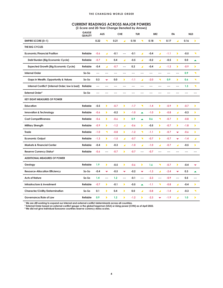#### **THE CHANGING WORLD ORDER**

#### **CURRENT READINGS ACROSS MAJOR POWERS**

**(Z-Score and 20-Year Change Denoted by Arrows)**

|                                                             | <b>GAUGE</b><br><b>QUALITY</b> | <b>AUS</b>     |                          | <b>CHE</b> |                         | <b>TUR</b> |                          | <b>BRZ</b> |                          | <b>ITA</b>     |                          | <b>NLD</b> |                          |
|-------------------------------------------------------------|--------------------------------|----------------|--------------------------|------------|-------------------------|------------|--------------------------|------------|--------------------------|----------------|--------------------------|------------|--------------------------|
| <b>EMPIRE SCORE (0-1)</b>                                   |                                | 0.22           | ◥                        | 0.21       | ◢                       | 0.18       | ◥                        | 0.18       | ◥                        | 0.17           | z                        | 0.16       | ь                        |
| THE BIG CYCLES                                              |                                |                |                          |            |                         |            |                          |            |                          |                |                          |            |                          |
| <b>Economic/Financial Position</b>                          | <b>Reliable</b>                | $-0.6$         | ◢                        | $-0.1$     | $\overline{a}$          | $-0.1$     | z                        | $-0.4$     | z                        | $-1.1$         | ь                        | $-0.5$     | ◥                        |
| Debt Burden (Big Economic Cycle)                            | <b>Reliable</b>                | $-0.7$         | ¥                        | 0.4        | z                       | $-0.5$     | z                        | $-0.2$     | Δ                        | $-0.5$         | ь                        | 0.0        | ▲                        |
| <b>Expected Growth (Big Economic Cycle)</b>                 | <b>Reliable</b>                | $-0.4$         | ◢                        | $-0.7$     | ---                     | 0.2        | z                        | $-0.4$     | $\overline{\mathcal{A}}$ | $-1.3$         | ь                        | $-0.9$     | Þ                        |
| <b>Internal Order</b>                                       | So-So                          | $\overline{a}$ | ---                      | ---        | $- - -$                 | $-$        | $-$                      | ---        | ---                      | $\overline{a}$ | $- - -$                  | 0.9        | ◥                        |
| Gaps in Wealth, Opportunity & Values                        | So-So                          | 0.3            | $\overline{\phantom{0}}$ | 0.0        | ь                       | $-1.1$     | ◢                        | $-2.0$     | ◥                        | 0.9            | ь                        | 0.6        | ◥                        |
| Internal Conflict <sup>1</sup> (Internal Order; low is bad) | <b>Reliable</b>                | ---            | ---                      | ---        | ---                     | ---        | ---                      | ---        | ---                      | ---            | ---                      | 1.3        | ◥                        |
| <b>External Order<sup>2</sup></b>                           | So-So                          | ---            | ---                      | ---        | ---                     | ---        | ---                      | ---        | ---                      | ---            | ---                      | ---        | $\overline{a}$           |
| <b>KEY EIGHT MEASURES OF POWER</b>                          |                                |                |                          |            |                         |            |                          |            |                          |                |                          |            |                          |
| <b>Education</b>                                            | <b>Reliable</b>                | $-0.5$         | Þ                        | $-0.7$     | ¥                       | $-1.7$     | ◥                        | $-1.4$     | ь                        | $-0.9$         | ь                        | $-0.7$     | ь                        |
| Innovation & Technology                                     | <b>Reliable</b>                | $-0.6$         | Þ                        | $-0.2$     | Þ                       | $-1.0$     | ▲                        | $-1.0$     | N                        | $-0.8$         | ◢                        | $-0.3$     | Þ                        |
| <b>Cost Competitiveness</b>                                 | <b>Reliable</b>                | $-0.6$         | ь                        | $-0.6$     | ь                       | 0.9        | ▲                        | 0.6        | ◥                        | $-0.7$         | ь                        | $-0.8$     | Þ                        |
| Military Strength                                           | <b>Reliable</b>                | $-0.9$         | Þ                        | $-1.2$     | z                       | $-0.6$     | ь                        | $-0.5$     | Þ                        | $-0.7$         | ь                        | $-1.8$     | Þ                        |
| Trade                                                       | <b>Reliable</b>                | $-1.0$         | ◥                        | $-0.8$     | ь                       | $-1.2$     | ◥                        | $-1.1$     | ь                        | $-0.7$         | $\overline{\phantom{0}}$ | $-0.6$     | ь                        |
| <b>Economic Output</b>                                      | <b>Reliable</b>                | $-1.3$         | ь                        | $-1.5$     | z                       | $-0.7$     | ◥                        | $-0.7$     | ¥                        | $-0.7$         | $\overline{\phantom{a}}$ | $-1.4$     | ◢                        |
| <b>Markets &amp; Financial Center</b>                       | <b>Reliable</b>                | $-0.4$         | ь                        | $-0.3$     | ◢                       | $-1.0$     | ◢                        | $-1.0$     | ◢                        | $-0.7$         | $\overline{\phantom{a}}$ | $-0.5$     | Þ                        |
| Reserve Currency Status <sup>3</sup>                        | <b>Reliable</b>                | $-0.6$         | ---                      | $-0.7$     | Þ                       | $-0.7$     | ---                      | $-0.7$     | ---                      | ---            | ---                      | ---        | ---                      |
| <b>ADDITIONAL MEASURES OF POWER</b>                         |                                |                |                          |            |                         |            |                          |            |                          |                |                          |            |                          |
| Geology                                                     | <b>Reliable</b>                | 1.9            | ь                        | $-0.5$     | ь                       | $-0.6$     | N                        | 1.6        | ◥                        | $-0.7$         | ь                        | $-0.4$     | $\overline{\phantom{0}}$ |
| <b>Resource-Allocation Efficiency</b>                       | So-So                          | $-0.4$         | $\overline{\phantom{0}}$ | $-0.5$     | $\overline{\mathbf{v}}$ | $-0.2$     | $\overline{\phantom{0}}$ | $-1.3$     | z                        | $-2.4$         | $\overline{\phantom{0}}$ | 0.3        | ▲                        |
| <b>Acts of Nature</b>                                       | So-So                          | 1.4            | ---                      | 1.2        | ---                     | $-0.1$     | $\overline{a}$           | $-2.3$     | $\overline{a}$           | $-0.9$         | $\overline{a}$           | 0.5        | $\overline{a}$           |
| Infrastructure & Investment                                 | <b>Reliable</b>                | $-0.7$         | Þ                        | $-0.1$     | Þ.                      | $-0.5$     | ▲                        | $-1.1$     | ◥                        | $-0.8$         | ◢                        | $-0.4$     | Þ                        |
| Character/Civility/Determination                            | So-So                          | 0.1            | Þ                        | 0.4        | Þ                       | 0.0        | ◢                        | $-0.8$     | ◢                        | $-1.4$         | ◢                        | $-0.3$     | ◥                        |
| Governance/Rule of Law                                      | <b>Reliable</b>                | 0.9            | ь                        | 1.2        | ь                       | $-1.2$     | ь                        | $-2.3$     | $\overline{\phantom{0}}$ | $-1.9$         | ◢                        | 1.0        | ь                        |

<sup>1</sup> We are still working to expand our internal and external conflict determinants across all countries.<br><sup>2</sup> External Order based on external conflict gauge vs the global hegemon (USA) or rising power (CHN) as of April 202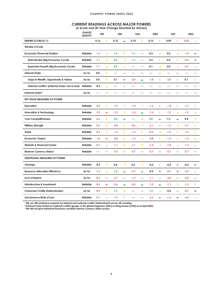#### **CURRENT READINGS ACROSS MAJOR POWERS**

**(Z-Score and 20-Year Change Denoted by Arrows)**

|                                                             | <b>GAUGE</b><br><b>QUALITY</b> | <b>ESP</b>     |                          | <b>IDN</b> |                          |        | SAU                      | <b>MEX</b>     |                          | <b>SAF</b>     |                          | <b>ARG</b> |                          |
|-------------------------------------------------------------|--------------------------------|----------------|--------------------------|------------|--------------------------|--------|--------------------------|----------------|--------------------------|----------------|--------------------------|------------|--------------------------|
| <b>EMPIRE SCORE (0-1)</b>                                   |                                | 0.16           | ь                        | 0.15       | ▲                        | 0.14   | Þ                        | 0.13           | ь                        | 0.09           | ь                        | 0.05       | ◢                        |
| THE BIG CYCLES                                              |                                |                |                          |            |                          |        |                          |                |                          |                |                          |            |                          |
| <b>Economic/Financial Position</b>                          | <b>Reliable</b>                | $-1.3$         | ◢                        | 1.0        | Þ                        | 1.9    | ---                      | 0.3            | ◢                        | 0.2            | z                        | $-1.0$     | $\overline{\phantom{0}}$ |
| Debt Burden (Big Economic Cycle)                            | <b>Reliable</b>                | $-1.1$         | ◢                        | 0.6        | ◥                        | 1.9    | ---                      | 0.3            | ×                        | 0.2            | ь                        | $-0.9$     | $\overline{\phantom{0}}$ |
| <b>Expected Growth (Big Economic Cycle)</b>                 | <b>Reliable</b>                | $-1.1$         | ◢                        | 0.9        | ◢                        | ---    | ---                      | 0.1            | ◢                        | 0.0            | ◢                        | $-0.7$     | ◢                        |
| <b>Internal Order</b>                                       | So-So                          | 0.0            | ь                        | ---        | ---                      | ---    | ---                      | ---            | ---                      | ---            | ---                      | ---        | $- - -$                  |
| <b>Gaps in Wealth, Opportunity &amp; Values</b>             | So-So                          | 0.4            | ь                        | 0.1        | $\overline{\phantom{0}}$ | $-3.0$ | ▲                        | $-1.8$         | Þ.                       | $-2.8$         | Þ                        | 0.1        | ▶                        |
| Internal Conflict <sup>1</sup> (Internal Order; low is bad) | <b>Reliable</b>                | $-0.4$         | z                        |            | $\overline{a}$           | ---    | $\overline{a}$           | $\overline{a}$ | $\overline{a}$           | $\overline{a}$ | ---                      | ---        | $\overline{a}$           |
| <b>External Order<sup>2</sup></b>                           | So-So                          | $\overline{a}$ | ---                      | ---        | ---                      | ---    | ---                      | ---            | ---                      | ---            | ---                      | ---        | ---                      |
| <b>KEY EIGHT MEASURES OF POWER</b>                          |                                |                |                          |            |                          |        |                          |                |                          |                |                          |            |                          |
| <b>Education</b>                                            | <b>Reliable</b>                | $-0.9$         | ь                        | $-1.9$     | ◥                        | $-1.4$ | ◥                        | $-1.3$         | ь                        | $-1.8$         | ь                        | $-1.7$     | ь                        |
| Innovation & Technology                                     | <b>Reliable</b>                | $-1.0$         | $\blacktriangledown$     | $-1.2$     | ◥                        | $-1.4$ | ▲                        | $-1.3$         | N                        | $-1.2$         | ◢                        | $-1.2$     | ◢                        |
| <b>Cost Competitiveness</b>                                 | <b>Reliable</b>                | $-0.6$         | Þ.                       | 2.0        | ▲                        | ---    | ---                      | 0.8            | ▲                        | 0.8            | ▲                        | 0.4        | ◥                        |
| Military Strength                                           | <b>Reliable</b>                | $-0.9$         | ь                        | $-0.8$     | ь                        | $-0.6$ | ◥                        | $-2.1$         | ---                      | $-1.3$         | ◢                        | $-2.1$     | ▶                        |
| Trade                                                       | <b>Reliable</b>                | $-0.9$         | Þ                        | $-1.2$     | ¥                        | $-1.2$ | ¥                        | $-0.9$         | ◥                        | $-1.3$         | Þ                        | $-1.3$     | ь                        |
| <b>Economic Output</b>                                      | <b>Reliable</b>                | $-1.0$         | $\overline{\phantom{0}}$ | $-0.8$     | ь                        | $-1.2$ | $\overline{\mathcal{A}}$ | $-0.8$         | ь                        | $-1.2$         | ь                        | $-1.2$     | Þ                        |
| <b>Markets &amp; Financial Center</b>                       | <b>Reliable</b>                | $-0.7$         | ◢                        | $-1.1$     | ¥                        | $-1.1$ | ◥                        | $-1.0$         | ◢                        | $-1.0$         | $\overline{\mathcal{A}}$ | $-1.3$     | ◢                        |
| Reserve Currency Status <sup>3</sup>                        | <b>Reliable</b>                | ---            | ---                      | $-0.7$     | ---                      | $-0.7$ | $\overline{\phantom{a}}$ | $-0.7$         | $\overline{a}$           | $-0.7$         | $\overline{a}$           | $-0.7$     | ---                      |
| <b>ADDITIONAL MEASURES OF POWER</b>                         |                                |                |                          |            |                          |        |                          |                |                          |                |                          |            |                          |
| Geology                                                     | <b>Reliable</b>                | $-0.5$         | ◥                        | 0.4        | ◥                        | 0.3    | ◥                        | $-0.3$         | ь                        | $-0.2$         | $\overline{\phantom{0}}$ | $-0.3$     | $\overline{\phantom{0}}$ |
| <b>Resource-Allocation Efficiency</b>                       | So-So                          | $-1.5$         | ◢                        | 1.0        | ▲                        | $-0.7$ | ▲                        | $-0.3$         | $\overline{\phantom{0}}$ | $-0.6$         | $\overline{\phantom{0}}$ | $-2.4$     | ◢                        |
| <b>Acts of Nature</b>                                       | So-So                          | $-0.6$         | ---                      | $-2.1$     | ---                      | $-1.9$ | $\overline{a}$           | $-1.1$         | ---                      | $-2.0$         | ---                      | $-2.0$     | $\overline{a}$           |
| Infrastructure & Investment                                 | <b>Reliable</b>                | $-0.6$         | $\overline{\phantom{0}}$ | $-0.6$     | ▲                        | $-0.6$ | ▲                        | $-1.0$         | ▲                        | $-1.1$         | ◥                        | $-1.5$     | Þ                        |
| Character/Civility/Determination                            | So-So                          | $-0.9$         | Þ                        | 1.3        | Þ                        | ---    | ---                      | 1.3            | z                        | $-0.5$         | ---                      | $-0.7$     | $\overline{\phantom{a}}$ |
| Governance/Rule of Law                                      | <b>Reliable</b>                | $-0.7$         | ◢                        | $-1.3$     | ь                        |        | .                        | $-2.3$         | $\overline{\phantom{0}}$ | $-1.5$         | $\overline{\phantom{0}}$ | $-2.3$     | ◢                        |

<sup>1</sup> We are still working to expand our internal and external conflict determinants across all countries.<br><sup>2</sup> External Order based on external conflict gauge vs the global hegemon (USA) or rising power (CHN) as of April 202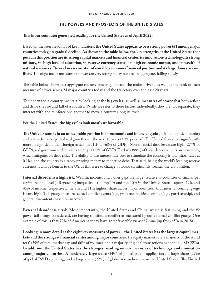#### **THE POWERS AND PROSPECTS OF THE UNITED STATES**

#### **This is our computer generated reading for the United States as of April 2022.**

Based on the latest readings of key indicators, **the United States appears to be a strong power (#1 among major countries today) in gradual decline. As shown in the table below, the key strengths of the United States that put it in this position are its strong capital markets and financial center, its innovation/technology, its strong military, its high level of education, its reserve currency status, its high economic output, and its wealth of natural resources. Its weaknesses are its unfavorable economic/financial position and its large domestic conflicts.** The eight major measures of power are very strong today but are, in aggregate, falling slowly.

The table below shows our aggregate country power gauge and the major drivers, as well as the rank of each measure of power across 24 major countries today and the trajectory over the past 20 years.

To understand a country, we start by looking at **the big cycles**, as well as **measures of power** that both reflect and drive the rise and fall of a country. While we refer to these factors individually, they are not separate; they interact with and reinforce one another to move a country along its cycle.

For the United States, **the big cycles look mostly unfavorable**.

**The United States is in an unfavorable position in its economic and financial cycles**, with a high debt burden and relatively low expected real growth over the next 10 years (1.3% per year). The United States has significantly more foreign debts than foreign assets (net IIP is -68% of GDP). Non-financial debt levels are high (274% of GDP), and government debt levels are high (127% of GDP). The bulk (99%) of these debts are in its own currency, which mitigates its debt risks. The ability to use interest rate cuts to stimulate the economy is low (short rates at 0.1%), and the country is already printing money to monetize debt. That said, being the world's leading reserve currency is a large benefit to the US. If this were to change, it would significantly weaken the US position.

**Internal disorder is a high risk.** Wealth, income, and values gaps are large (relative to countries of similar per capita income levels). Regarding inequality—the top 1% and top 10% in the United States capture 19% and 45% of income (respectively the 8th and 11th highest share across major countries). Our internal conflict gauge is very high. This gauge measures actual conflict events (e.g., protests), political conflict (e.g., partisanship), and general discontent (based on surveys).

**External disorder is a risk.** Most importantly, the United States and China, which is fast-rising and the #2 power (all things considered), are having significant conflict as measured by our external conflict gauge. One example of this is that 79% of Americans today have an unfavorable view of China (up from 45% in 2018).

**Looking in more detail at the eight key measures of power—the United States has the largest capital markets and the strongest financial center among major countries.** Its equity markets are a majority of the world total (59% of total market cap and 66% of volume), and a majority of global transactions happen in USD (55%). **In addition, the United States has the strongest reading on our measures of technology and innovation among major countries.** A moderately large share (14%) of global patent applications, a large share (27%) of global R&D spending, and a large share (27%) of global researchers are in the United States. **The United**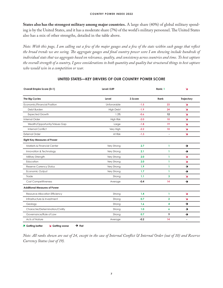**States also has the strongest military among major countries.** A large share (40%) of global military spending is by the United States, and it has a moderate share (7%) of the world's military personnel. The United States also has a mix of other strengths, detailed in the table above.

*Note: With this page, I am calling out a few of the major gauges and a few of the stats within each gauge that reflect the broad trends we are seeing. The aggregate gauges and final country power score I am showing include hundreds of individual stats that we aggregate based on relevance, quality, and consistency across countries and time. To best capture the overall strength of a country, I gave considerations to both quantity and quality but structured things to best capture who would win in a competition or war.*

| Overall Empire Score (0-1)          | Level: 0.89      |         | Rank: 1        | ⋊                     |
|-------------------------------------|------------------|---------|----------------|-----------------------|
| The Big Cycles                      | Level            | Z-Score | Rank           | Trajectory            |
| Economic/Financial Position         | Unfavorable      | $-1.5$  | 23             | ×                     |
| Debt Burden                         | <b>High Debt</b> | $-1.9$  | 24             | Я                     |
| <b>Expected Growth</b>              | 1.3%             | $-0.6$  | 12             | ×                     |
| Internal Order                      | <b>High Risk</b> | $-2.0$  | 10             | Я                     |
| Wealth/Opportunity/Values Gap       | Large            | $-1.8$  | 19             | Я                     |
| Internal Conflict                   | Very High        | $-2.2$  | 10             | Я                     |
| <b>External Order</b>               | At Risk          | $-1.3$  |                | $\blacktriangleright$ |
| <b>Eight Key Measures of Power</b>  |                  |         |                |                       |
| Markets & Financial Center          | Very Strong      | 2.7     | 1              | $\rightarrow$         |
| Innovation & Technology             | Very Strong      | 2.1     | 1              | →                     |
| Military Strength                   | Very Strong      | 2.0     | 1              | М                     |
| Education                           | Very Strong      | 2.0     | $\mathbf{1}$   | Я                     |
| Reserve Currency Status             | Very Strong      | 1.9     | 1              | $\rightarrow$         |
| Economic Output                     | Very Strong      | 1.7     | 1              | $\rightarrow$         |
| Trade                               | Strong           | 1.1     | $\mathbf{3}$   | Я                     |
| <b>Cost Competitiveness</b>         | Average          | $-0.4$  | 14             | →                     |
| <b>Additional Measures of Power</b> |                  |         |                |                       |
| Resource-Allocation Efficiency      | Strong           | 1.4     | 1              | М                     |
| Infrastructure & Investment         | Strong           | 0.7     | $\overline{2}$ | ×                     |
| Geology                             | Strong           | 1.6     | 4              | $\rightarrow$         |
| Character/Determination/Civility    | Strong           | 1.0     | 6              | →                     |
| Governance/Rule of Law              | Strong           | 0.7     | 9              | $\rightarrow$         |
| <b>Acts of Nature</b>               | Average          | $-0.2$  | 14             | ٠                     |

#### **UNITED STATES—KEY DRIVERS OF OUR COUNTRY POWER SCORE**

**A** Getting better **M** Getting worse  $\rightarrow$  Flat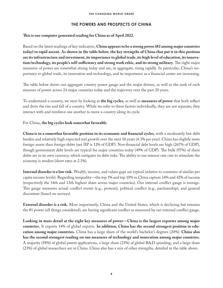#### **THE POWERS AND PROSPECTS OF CHINA**

#### **This is our computer generated reading for China as of April 2022.**

Based on the latest readings of key indicators, **China appears to be a strong power (#2 among major countries today) in rapid ascent. As shown in the table below, the key strengths of China that put it in this position are its infrastructure and investment, its importance to global trade, its high level of education, its innovation/technology, its people's self-sufficiency and strong work ethic, and its strong military**. The eight major measures of power are somewhat strong today and are, in aggregate, rising rapidly. In particular, China's importance to global trade, its innovation and technology, and its importance as a financial center are increasing.

The table below shows our aggregate country power gauge and the major drivers, as well as the rank of each measure of power across 24 major countries today and the trajectory over the past 20 years.

To understand a country, we start by looking at **the big cycles**, as well as **measures of power** that both reflect and drive the rise and fall of a country. While we refer to these factors individually, they are not separate; they interact with and reinforce one another to move a country along its cycle.

#### For China, **the big cycles look somewhat favorable**.

**China is in a somewhat favorable position in its economic and financial cycles**, with a moderately low debt burden and relatively high expected real growth over the next 10 years (4.3% per year). China has slightly more foreign assets than foreign debts (net IIP is 11% of GDP). Non-financial debt levels are high (267% of GDP), though government debt levels are typical for major countries today (49% of GDP). The bulk (97%) of these debts are in its own currency, which mitigates its debt risks. The ability to use interest rate cuts to stimulate the economy is modest (short rates at 2.1%).

**Internal disorder is a low risk.** Wealth, income, and values gaps are typical (relative to countries of similar per capita income levels). Regarding inequality—the top 1% and top 10% in China capture 14% and 42% of income (respectively the 14th and 13th highest share across major countries). Our internal conflict gauge is average. This gauge measures actual conflict events (e.g., protests), political conflict (e.g., partisanship), and general discontent (based on surveys).

**External disorder is a risk.** Most importantly, China and the United States, which is declining but remains the #1 power (all things considered), are having significant conflict as measured by our external conflict gauge.

**Looking in more detail at the eight key measures of power—China is the largest exporter among major countries.** It exports 14% of global exports. **In addition, China has the second strongest position in education among major countries.** China has a large share of the world's bachelor's degrees (20%). **China also has the second strongest reading on our measures of technology and innovation among major countries.** A majority (58%) of global patent applications, a large share (23%) of global R&D spending, and a large share (23%) of global researchers are in China. China also has a mix of other strengths, detailed in the table above.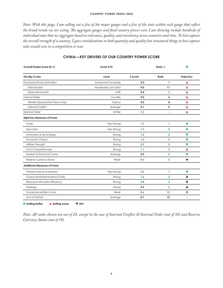*Note: With this page, I am calling out a few of the major gauges and a few of the stats within each gauge that reflect the broad trends we are seeing. The aggregate gauges and final country power score I am showing include hundreds of individual stats that we aggregate based on relevance, quality, and consistency across countries and time. To best capture the overall strength of a country, I gave considerations to both quantity and quality but structured things to best capture who would win in a competition or war.*

| Overall Empire Score (0-1)          | Level: 0.76         |         | Rank: 2                 | Χ                     |
|-------------------------------------|---------------------|---------|-------------------------|-----------------------|
| The Big Cycles                      | Level               | Z-Score | Rank                    | Trajectory            |
| Economic/Financial Position         | Somewhat Favorable  | 0.3     | $\overline{7}$          | $\blacktriangleright$ |
| Debt Burden                         | Moderately Low Debt | $-0.0$  | 11                      | $\blacktriangleright$ |
| <b>Expected Growth</b>              | 4.3%                | 0.4     | 3                       | $\blacktriangleright$ |
| Internal Order                      | Low Risk            | 0.2     | 6                       | $\blacktriangleright$ |
| Wealth/Opportunity/Values Gap       | Typical             | 0.2     | 8                       | $\blacktriangleright$ |
| Internal Conflict                   | Average             | 0.1     | 5                       | $\blacktriangleright$ |
| <b>External Order</b>               | At Risk             | $-1.3$  | ٠                       | $\blacktriangleright$ |
| <b>Eight Key Measures of Power</b>  |                     |         |                         |                       |
| Trade                               | Very Strong         | 1.9     | 1                       | $\blacktriangleright$ |
| Education                           | Very Strong         | 1.7     | $\overline{2}$          | $\blacktriangleright$ |
| Innovation & Technology             | Strong              | 1.6     | $\overline{2}$          | $\blacktriangleright$ |
| Economic Output                     | Strong              | 1.5     | $\overline{\mathbf{2}}$ | $\blacktriangleright$ |
| Military Strength                   | Strong              | 0.9     | $\overline{2}$          | $\blacktriangleright$ |
| <b>Cost Competitiveness</b>         | Strong              | 1.1     | 3                       | $\blacktriangleright$ |
| Markets & Financial Center          | Average             | 0.2     | 3                       | Х                     |
| Reserve Currency Status             | Weak                | $-0.6$  | 5                       | $\rightarrow$         |
| <b>Additional Measures of Power</b> |                     |         |                         |                       |
| Infrastructure & Investment         | Very Strong         | 2.6     | 1                       | $\blacktriangleright$ |
| Character/Determination/Civility    | Strong              | 1.6     | $\overline{\mathbf{2}}$ | $\rightarrow$         |
| Resource-Allocation Efficiency      | Strong              | 0.8     | 3                       | $\rightarrow$         |
| Geology                             | Strong              | 0.5     | 6                       | $\rightarrow$         |
| Governance/Rule of Law              | Weak                | $-0.6$  | 13                      | $\blacktriangleright$ |
| <b>Acts of Nature</b>               | Average             | $-0.1$  | 12                      | ٠                     |

#### **CHINA—KEY DRIVERS OF OUR COUNTRY POWER SCORE**

**A** Getting better **M** Getting worse  $\rightarrow$  Flat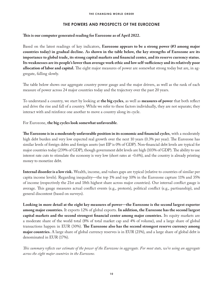#### **THE POWERS AND PROSPECTS OF THE EUROZONE**

#### **This is our computer generated reading for Eurozone as of April 2022.**

Based on the latest readings of key indicators, **Eurozone appears to be a strong power (#3 among major countries today) in gradual decline. As shown in the table below, the key strengths of Eurozone are its importance to global trade, its strong capital markets and financial center, and its reserve currency status. Its weaknesses are its people's lower than average work ethic and low self-sufficiency and its relatively poor allocation of labor and capital.** The eight major measures of power are somewhat strong today but are, in aggregate, falling slowly.

The table below shows our aggregate country power gauge and the major drivers, as well as the rank of each measure of power across 24 major countries today and the trajectory over the past 20 years.

To understand a country, we start by looking at **the big cycles**, as well as **measures of power** that both reflect and drive the rise and fall of a country. While we refer to these factors individually, they are not separate; they interact with and reinforce one another to move a country along its cycle.

For Eurozone, **the big cycles look somewhat unfavorable**.

**The Eurozone is in a moderately unfavorable position in its economic and financial cycles**, with a moderately high debt burden and very low expected real growth over the next 10 years (0.3% per year). The Eurozone has similar levels of foreign debts and foreign assets (net IIP is 0% of GDP). Non-financial debt levels are typical for major countries today (239% of GDP), though government debt levels are high (103% of GDP). The ability to use interest rate cuts to stimulate the economy is very low (short rates at -0.6%), and the country is already printing money to monetize debt.

**Internal disorder is a low risk.** Wealth, income, and values gaps are typical (relative to countries of similar per capita income levels). Regarding inequality—the top 1% and top 10% in the Eurozone capture 11% and 35% of income (respectively the 21st and 18th highest share across major countries). Our internal conflict gauge is average. This gauge measures actual conflict events (e.g., protests), political conflict (e.g., partisanship), and general discontent (based on surveys).

**Looking in more detail at the eight key measures of power—the Eurozone is the second largest exporter among major countries.** It exports 12% of global exports. **In addition, the Eurozone has the second largest capital markets and the second strongest financial center among major countries.** Its equity markets are a moderate share of the world total (8% of total market cap and 4% of volume), and a large share of global transactions happen in EUR (30%). **The Eurozone also has the second strongest reserve currency among major countries.** A large share of global currency reserves is in EUR (21%), and a large share of global debt is denominated in EUR (17%).

*This summary reflects our estimate of the power of the Eurozone in aggregate. For most stats, we're using an aggregate across the eight major countries in the Eurozone.*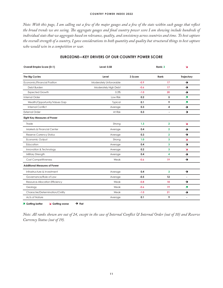*Note: With this page, I am calling out a few of the major gauges and a few of the stats within each gauge that reflect the broad trends we are seeing. The aggregate gauges and final country power score I am showing include hundreds of individual stats that we aggregate based on relevance, quality, and consistency across countries and time. To best capture the overall strength of a country, I gave considerations to both quantity and quality but structured things to best capture who would win in a competition or war.*

| Overall Empire Score (0-1)          | Level: 0.58            |         | Rank: 3        | У                     |
|-------------------------------------|------------------------|---------|----------------|-----------------------|
| The Big Cycles                      | Level                  | Z-Score | Rank           | Trajectory            |
| Economic/Financial Position         | Moderately Unfavorable | $-0.9$  | 17             | $\rightarrow$         |
| Debt Burden                         | Moderately High Debt   | $-0.6$  | 17             | $\rightarrow$         |
| <b>Expected Growth</b>              | 0.3%                   | $-1.0$  | 20             | →                     |
| <b>Internal Order</b>               | Low Risk               | 0.2     | 5              | $\blacktriangleright$ |
| Wealth/Opportunity/Values Gap       | Typical                | 0.1     | 9              | $\blacktriangleright$ |
| <b>Internal Conflict</b>            | Average                | 0.3     | 4              | $\rightarrow$         |
| <b>External Order</b>               | At Risk                | 0.3     | ÷              | $\rightarrow$         |
| <b>Eight Key Measures of Power</b>  |                        |         |                |                       |
| Trade                               | Strong                 | 1.3     | $\overline{2}$ | М                     |
| Markets & Financial Center          | Average                | 0.4     | $\overline{2}$ | $\rightarrow$         |
| Reserve Currency Status             | Average                | 0.3     | $\overline{2}$ | $\rightarrow$         |
| Economic Output                     | Strong                 | 1.0     | 3              | $\blacktriangleright$ |
| Education                           | Average                | 0.4     | 3              | $\rightarrow$         |
| Innovation & Technology             | Average                | 0.2     | 3              | М                     |
| Military Strength                   | Average                | 0.4     | 4              | $\rightarrow$         |
| <b>Cost Competitiveness</b>         | Weak                   | $-0.6$  | 19             | $\rightarrow$         |
| <b>Additional Measures of Power</b> |                        |         |                |                       |
| Infrastructure & Investment         | Average                | 0.4     | 3              | $\rightarrow$         |
| Governance/Rule of Law              | Average                | $-0.5$  | 12             | $\blacksquare$        |
| Resource-Allocation Efficiency      | Weak                   | $-0.8$  | 18             | $\rightarrow$         |
| Geology                             | Weak                   | $-0.6$  | 19             | Χ                     |
| Character/Determination/Civility    | Weak                   | $-1.0$  | 21             | $\rightarrow$         |
| <b>Acts of Nature</b>               | Average                | 0.1     | 9              | ٠                     |

#### **EUROZONE—KEY DRIVERS OF OUR COUNTRY POWER SCORE**

 **A** Getting better ▲ Getting worse → Flat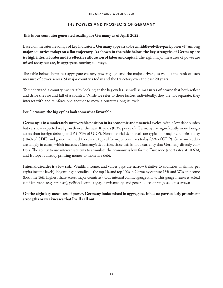#### **THE POWERS AND PROSPECTS OF GERMANY**

#### **This is our computer generated reading for Germany as of April 2022.**

Based on the latest readings of key indicators, **Germany appears to be a middle-of-the-pack power (#4 among major countries today) on a flat trajectory. As shown in the table below, the key strengths of Germany are its high internal order and its effective allocation of labor and capital**. The eight major measures of power are mixed today but are, in aggregate, moving sideways.

The table below shows our aggregate country power gauge and the major drivers, as well as the rank of each measure of power across 24 major countries today and the trajectory over the past 20 years.

To understand a country, we start by looking at **the big cycles**, as well as **measures of power** that both reflect and drive the rise and fall of a country. While we refer to these factors individually, they are not separate; they interact with and reinforce one another to move a country along its cycle.

For Germany, **the big cycles look somewhat favorable**.

**Germany is in a moderately unfavorable position in its economic and financial cycles**, with a low debt burden but very low expected real growth over the next 10 years (0.3% per year). Germany has significantly more foreign assets than foreign debts (net IIP is 71% of GDP). Non-financial debt levels are typical for major countries today (184% of GDP), and government debt levels are typical for major countries today (69% of GDP). Germany's debts are largely in euros, which increases Germany's debt risks, since this is not a currency that Germany directly controls. The ability to use interest rate cuts to stimulate the economy is low for the Eurozone (short rates at -0.6%), and Europe is already printing money to monetize debt.

**Internal disorder is a low risk.** Wealth, income, and values gaps are narrow (relative to countries of similar per capita income levels). Regarding inequality—the top 1% and top 10% in Germany capture 13% and 37% of income (both the 16th highest share across major countries). Our internal conflict gauge is low. This gauge measures actual conflict events (e.g., protests), political conflict (e.g., partisanship), and general discontent (based on surveys).

#### **On the eight key measures of power, Germany looks mixed in aggregate. It has no particularly prominent strengths or weaknesses that I will call out.**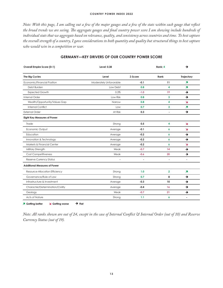*Note: With this page, I am calling out a few of the major gauges and a few of the stats within each gauge that reflect the broad trends we are seeing. The aggregate gauges and final country power score I am showing include hundreds of individual stats that we aggregate based on relevance, quality, and consistency across countries and time. To best capture the overall strength of a country, I gave considerations to both quantity and quality but structured things to best capture who would win in a competition or war.*

| Overall Empire Score (0-1)          | Level: 0.38              |                          | Rank: 4        |                          |
|-------------------------------------|--------------------------|--------------------------|----------------|--------------------------|
| The Big Cycles                      | Level                    | Z-Score                  | Rank           | <b>Trajectory</b>        |
| Economic/Financial Position         | Moderately Unfavorable   | $-0.1$                   | 11             | $\blacktriangleright$    |
| Debt Burden                         | Low Debt                 | 0.8                      | 4              | $\blacktriangleright$    |
| <b>Expected Growth</b>              | 0.3%                     | $-1.0$                   | 19             | $\rightarrow$            |
| Internal Order                      | Low Risk                 | 0.8                      | 3              | $\rightarrow$            |
| Wealth/Opportunity/Values Gap       | Narrow                   | 0.8                      | 4              | $\blacktriangleright$    |
| Internal Conflict                   | Low                      | 0.7                      | 3              | $\blacktriangleright$    |
| <b>External Order</b>               | At Risk                  | 0.3                      | ÷,             | →                        |
| <b>Eight Key Measures of Power</b>  |                          |                          |                |                          |
| Trade                               | Strong                   | 0.5                      | 4              | $\blacktriangleright$    |
| Economic Output                     | Average                  | $-0.1$                   | 6              | ⋊                        |
| Education                           | Average                  | $-0.2$                   | 6              | $\rightarrow$            |
| Innovation & Technology             | Average                  | $-0.2$                   | 6              | $\rightarrow$            |
| Markets & Financial Center          | Average                  | $-0.2$                   | 6              | $\blacktriangleright$    |
| Military Strength                   | Weak                     | $-0.7$                   | 14             | $\rightarrow$            |
| <b>Cost Competitiveness</b>         | Weak                     | $-0.6$                   | 20             | $\rightarrow$            |
| Reserve Currency Status             | $\overline{\phantom{a}}$ | $\overline{\phantom{a}}$ | $\overline{a}$ | $\overline{\phantom{a}}$ |
| <b>Additional Measures of Power</b> |                          |                          |                |                          |
| Resource-Allocation Efficiency      | Strong                   | 1.0                      | $\overline{2}$ | $\blacktriangleright$    |
| Governance/Rule of Law              | Strong                   | 0.7                      | 8              | $\rightarrow$            |
| Infrastructure & Investment         | Average                  | $-0.3$                   | 10             | $\rightarrow$            |
| Character/Determination/Civility    | Average                  | $-0.4$                   | 16             | $\rightarrow$            |
| Geology                             | Weak                     | $-0.7$                   | 21             | $\rightarrow$            |
| Acts of Nature                      | Strong                   | 1.1                      | 6              | ٠                        |

#### **GERMANY—KEY DRIVERS OF OUR COUNTRY POWER SCORE**

 **A** Getting better **M** Getting worse **→** Flat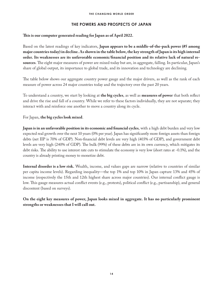#### **THE POWERS AND PROSPECTS OF JAPAN**

#### **This is our computer generated reading for Japan as of April 2022.**

Based on the latest readings of key indicators, **Japan appears to be a middle-of-the-pack power (#5 among major countries today) in decline. As shown in the table below, the key strength of Japan is its high internal order. Its weaknesses are its unfavorable economic/financial position and its relative lack of natural resources**. The eight major measures of power are mixed today but are, in aggregate, falling. In particular, Japan's share of global output, its importance to global trade, and its innovation and technology are declining.

The table below shows our aggregate country power gauge and the major drivers, as well as the rank of each measure of power across 24 major countries today and the trajectory over the past 20 years.

To understand a country, we start by looking at **the big cycles**, as well as **measures of power** that both reflect and drive the rise and fall of a country. While we refer to these factors individually, they are not separate; they interact with and reinforce one another to move a country along its cycle.

For Japan, **the big cycles look mixed**.

**Japan is in an unfavorable position in its economic and financial cycles**, with a high debt burden and very low expected real growth over the next 10 years (0% per year). Japan has significantly more foreign assets than foreign debts (net IIP is 70% of GDP). Non-financial debt levels are very high (403% of GDP), and government debt levels are very high (240% of GDP). The bulk (99%) of these debts are in its own currency, which mitigates its debt risks. The ability to use interest rate cuts to stimulate the economy is very low (short rates at -0.1%), and the country is already printing money to monetize debt.

**Internal disorder is a low risk.** Wealth, income, and values gaps are narrow (relative to countries of similar per capita income levels). Regarding inequality—the top 1% and top 10% in Japan capture 13% and 45% of income (respectively the 15th and 12th highest share across major countries). Our internal conflict gauge is low. This gauge measures actual conflict events (e.g., protests), political conflict (e.g., partisanship), and general discontent (based on surveys).

**On the eight key measures of power, Japan looks mixed in aggregate. It has no particularly prominent strengths or weaknesses that I will call out.**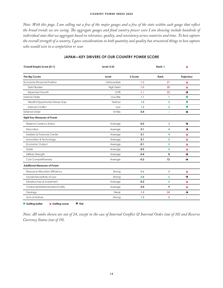*Note: With this page, I am calling out a few of the major gauges and a few of the stats within each gauge that reflect the broad trends we are seeing. The aggregate gauges and final country power score I am showing include hundreds of individual stats that we aggregate based on relevance, quality, and consistency across countries and time. To best capture the overall strength of a country, I gave considerations to both quantity and quality but structured things to best capture who would win in a competition or war.*

| Overall Empire Score (0-1)          | Level: 0.33      |         | Rank: 5                 | м                     |
|-------------------------------------|------------------|---------|-------------------------|-----------------------|
| The Big Cycles                      | Level            | Z-Score | Rank                    | <b>Trajectory</b>     |
| Economic/Financial Position         | Unfavorable      | $-1.3$  | 21                      | $\blacktriangleright$ |
| Debt Burden                         | <b>High Debt</b> | $-1.0$  | 20                      | Я                     |
| <b>Expected Growth</b>              | 0.0%             | $-1.1$  | 22                      | $\rightarrow$         |
| <b>Internal Order</b>               | Low Risk         | 1.1     | 1                       | $\blacktriangleright$ |
| Wealth/Opportunity/Values Gap       | Narrow           | 1.0     | $\overline{\mathbf{2}}$ | $\blacktriangleright$ |
| Internal Conflict                   | Low              | 1.2     | $\overline{2}$          | $\blacktriangleright$ |
| <b>External Order</b>               | At Risk          | 0.4     |                         | $\rightarrow$         |
| <b>Eight Key Measures of Power</b>  |                  |         |                         |                       |
| Reserve Currency Status             | Average          | $-0.5$  | 3                       | $\rightarrow$         |
| Education                           | Average          | 0.1     | 4                       | $\rightarrow$         |
| Markets & Financial Center          | Average          | 0.1     | 4                       | м                     |
| Innovation & Technology             | Average          | 0.1     | 5                       | $\blacktriangleright$ |
| Economic Output                     | Average          | $-0.1$  | 5                       | М                     |
| Trade                               | Average          | $-0.5$  | 5                       | $\blacktriangleright$ |
| Military Strength                   | Average          | $-0.4$  | 8                       | $\rightarrow$         |
| <b>Cost Competitiveness</b>         | Average          | $-0.3$  | 12                      | $\rightarrow$         |
| <b>Additional Measures of Power</b> |                  |         |                         |                       |
| Resource-Allocation Efficiency      | Strong           | 0.6     | 5                       | $\blacktriangleright$ |
| Governance/Rule of Law              | Strong           | 0.8     | 6                       | $\rightarrow$         |
| Infrastructure & Investment         | Average          | $-0.2$  | 6                       | М                     |
| Character/Determination/Civility    | Average          | 0.4     | 9                       | $\blacktriangleright$ |
| Geology                             | Weak             | $-1.0$  | 24                      | $\rightarrow$         |
| <b>Acts of Nature</b>               | Strong           | 1.5     | $\overline{2}$          | ä,                    |

#### **JAPAN—KEY DRIVERS OF OUR COUNTRY POWER SCORE**

**A** Getting better  $\rightarrow$  Getting worse  $\rightarrow$  Flat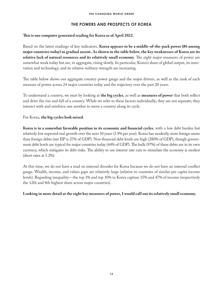#### **THE POWERS AND PROSPECTS OF KOREA**

#### **This is our computer generated reading for Korea as of April 2022.**

Based on the latest readings of key indicators, **Korea appears to be a middle-of-the-pack power (#6 among major countries today) in gradual ascent. As shown in the table below, the key weaknesses of Korea are its relative lack of natural resources and its relatively small economy**. The eight major measures of power are somewhat weak today but are, in aggregate, rising slowly. In particular, Korea's share of global output, its innovation and technology, and its relative military strength are increasing.

The table below shows our aggregate country power gauge and the major drivers, as well as the rank of each measure of power across 24 major countries today and the trajectory over the past 20 years.

To understand a country, we start by looking at **the big cycles**, as well as **measures of power** that both reflect and drive the rise and fall of a country. While we refer to these factors individually, they are not separate; they interact with and reinforce one another to move a country along its cycle.

For Korea, **the big cycles look mixed**.

**Korea is in a somewhat favorable position in its economic and financial cycles**, with a low debt burden but relatively low expected real growth over the next 10 years (1.9% per year). Korea has modestly more foreign assets than foreign debts (net IIP is 27% of GDP). Non-financial debt levels are high (280% of GDP), though government debt levels are typical for major countries today (44% of GDP). The bulk (97%) of these debts are in its own currency, which mitigates its debt risks. The ability to use interest rate cuts to stimulate the economy is modest (short rates at 1.2%).

At this time, we do not have a read on internal disorder for Korea because we do not have an internal conflict gauge. Wealth, income, and values gaps are relatively large (relative to countries of similar per capita income levels). Regarding inequality—the top 1% and top 10% in Korea capture 15% and 47% of income (respectively the 12th and 8th highest share across major countries).

#### **Looking in more detail at the eight key measures of power, I would call out its relatively small economy.**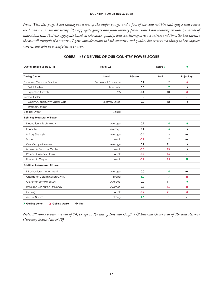*Note: With this page, I am calling out a few of the major gauges and a few of the stats within each gauge that reflect the broad trends we are seeing. The aggregate gauges and final country power score I am showing include hundreds of individual stats that we aggregate based on relevance, quality, and consistency across countries and time. To best capture the overall strength of a country, I gave considerations to both quantity and quality but structured things to best capture who would win in a competition or war.*

| Overall Empire Score (0-1)          | Level: 0.31             |                          | Rank: 6        | Χ                     |
|-------------------------------------|-------------------------|--------------------------|----------------|-----------------------|
| The Big Cycles                      | Level                   | Z-Score                  | Rank           | Trajectory            |
| Economic/Financial Position         | Somewhat Favorable      | 0.1                      | 9              | $\blacktriangleright$ |
| Debt Burden                         | Low debt                | 0.5                      | 7              | $\rightarrow$         |
| <b>Expected Growth</b>              | 1.9%                    | $-0.4$                   | 10             | ⊻                     |
| Internal Order                      |                         | $\overline{\phantom{a}}$ |                | $\blacksquare$        |
| Wealth/Opportunity/Values Gap       | <b>Relatively Large</b> | 0.0                      | 12             | →                     |
| Internal Conflict                   |                         | $\blacksquare$           |                |                       |
| <b>External Order</b>               | At Risk                 | $\overline{\phantom{a}}$ | $\blacksquare$ | $\blacksquare$        |
| <b>Eight Key Measures of Power</b>  |                         |                          |                |                       |
| Innovation & Technology             | Average                 | 0.2                      | 4              | $\blacktriangleright$ |
| Education                           | Average                 | 0.1                      | 5              | $\rightarrow$         |
| Military Strength                   | Average                 | $-0.4$                   | 9              | $\rightarrow$         |
| Trade                               | Weak                    | $-0.7$                   | 9              | $\rightarrow$         |
| <b>Cost Competitiveness</b>         | Average                 | 0.1                      | 11             | $\rightarrow$         |
| Markets & Financial Center          | Weak                    | $-0.6$                   | 13             | $\rightarrow$         |
| Reserve Currency Status             | Weak                    | $-0.7$                   | 15             | ÷                     |
| Economic Output                     | Weak                    | $-0.9$                   | 15             | $\blacktriangleright$ |
| <b>Additional Measures of Power</b> |                         |                          |                |                       |
| Infrastructure & Investment         | Average                 | 0.0                      | 4              | $\rightarrow$         |
| Character/Determination/Civility    | Strong                  | 1.0                      | $\overline{7}$ | $\blacktriangleright$ |
| Governance/Rule of Law              | Average                 | $-0.2$                   | 11             | $\blacktriangleright$ |
| Resource-Allocation Efficiency      | Average                 | $-0.5$                   | 16             | $\blacktriangleright$ |
| Geology                             | Weak                    | $-0.9$                   | 21             | $\blacktriangleright$ |
| Acts of Nature                      | Strong                  | 1.6                      | 1              | ٠                     |

#### **KOREA—KEY DRIVERS OF OUR COUNTRY POWER SCORE**

 **A** Getting better ▲ Getting worse → Flat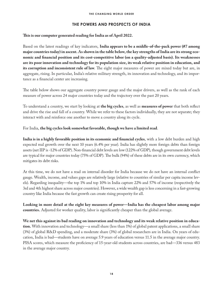#### **THE POWERS AND PROSPECTS OF INDIA**

#### **This is our computer generated reading for India as of April 2022.**

Based on the latest readings of key indicators, **India appears to be a middle-of-the-pack power (#7 among major countries today) in ascent. As shown in the table below, the key strengths of India are its strong economic and financial position and its cost-competitive labor (on a quality-adjusted basis). Its weaknesses are its poor innovation and technology for its population size, its weak relative position in education, and its corruption and inconsistent rule of law**. The eight major measures of power are mixed today but are, in aggregate, rising. In particular, India's relative military strength, its innovation and technology, and its importance as a financial center are increasing.

The table below shows our aggregate country power gauge and the major drivers, as well as the rank of each measure of power across 24 major countries today and the trajectory over the past 20 years.

To understand a country, we start by looking at **the big cycles**, as well as **measures of power** that both reflect and drive the rise and fall of a country. While we refer to these factors individually, they are not separate; they interact with and reinforce one another to move a country along its cycle.

For India, **the big cycles look somewhat favorable, though we have a limited read**.

**India is in a highly favorable position in its economic and financial cycles**, with a low debt burden and high expected real growth over the next 10 years (6.4% per year). India has slightly more foreign debts than foreign assets (net IIP is -12% of GDP). Non-financial debt levels are low (122% of GDP), though government debt levels are typical for major countries today (75% of GDP). The bulk (94%) of these debts are in its own currency, which mitigates its debt risks.

At this time, we do not have a read on internal disorder for India because we do not have an internal conflict gauge. Wealth, income, and values gaps are relatively large (relative to countries of similar per capita income levels). Regarding inequality—the top 1% and top 10% in India capture 22% and 57% of income (respectively the 3rd and 4th highest share across major countries). However, a wide wealth gap is less concerning in a fast-growing country like India because the fast growth can create rising prosperity for all.

**Looking in more detail at the eight key measures of power—India has the cheapest labor among major countries.** Adjusted for worker quality, labor is significantly cheaper than the global average.

**We net this against its bad reading on innovation and technology and its weak relative position in education.** With innovation and technology—a small share (less than 1%) of global patent applications, a small share (3%) of global R&D spending, and a moderate share (3%) of global researchers are in India. On years of education, India is bad—students have on average 5.9 years of education versus 11.5 in the average major country. PISA scores, which measure the proficiency of 15-year-old students across countries, are bad—336 versus 483 in the average major country.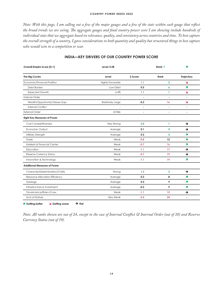*Note: With this page, I am calling out a few of the major gauges and a few of the stats within each gauge that reflect the broad trends we are seeing. The aggregate gauges and final country power score I am showing include hundreds of individual stats that we aggregate based on relevance, quality, and consistency across countries and time. To best capture the overall strength of a country, I gave considerations to both quantity and quality but structured things to best capture who would win in a competition or war.*

| Overall Empire Score (0-1)          | Level: 0.28             |                          | Rank: 7        | Χ                        |
|-------------------------------------|-------------------------|--------------------------|----------------|--------------------------|
| The Big Cycles                      | Level                   | Z-Score                  | Rank           | Trajectory               |
| Economic/Financial Position         | <b>Highly Favorable</b> | 1.1                      | $\overline{2}$ | $\blacktriangleright$    |
| Debt Burden                         | Low Debt                | 0.5                      | 6              | $\blacktriangleright$    |
| <b>Expected Growth</b>              | 6.4%                    | 1.1                      | 1              | М                        |
| Internal Order                      |                         |                          |                | $\blacksquare$           |
| Wealth/Opportunity/Values Gap       | <b>Relatively Large</b> | $-0.3$                   | 16             | $\blacktriangleright$    |
| Internal Conflict                   |                         | $\overline{a}$           |                | $\blacksquare$           |
| <b>External Order</b>               | At Risk                 | $\overline{\phantom{a}}$ | $\overline{a}$ | $\overline{\phantom{a}}$ |
| <b>Eight Key Measures of Power</b>  |                         |                          |                |                          |
| <b>Cost Competitiveness</b>         | Very Strong             | 2.4                      | 1              | →                        |
| Economic Output                     | Average                 | 0.1                      | 4              | →                        |
| Military Strength                   | Average                 | 0.3                      | 5              | $\blacktriangleright$    |
| Trade                               | Weak                    | $-0.8$                   | 12             | $\blacktriangleright$    |
| Markets & Financial Center          | Weak                    | $-0.7$                   | 16             | $\blacktriangleright$    |
| Education                           | Weak                    | $-1.1$                   | 17             | $\rightarrow$            |
| Reserve Currency Status             | Weak                    | $-0.7$                   | 19             | →                        |
| Innovation & Technology             | Weak                    | $-1.1$                   | 19             | $\blacktriangleright$    |
| <b>Additional Measures of Power</b> |                         |                          |                |                          |
| Character/Determination/Civility    | Strong                  | 1.3                      | 3              | $\rightarrow$            |
| Resource-Allocation Efficiency      | Average                 | 0.3                      | 8              | $\blacktriangleright$    |
| Geology                             | Average                 | 0.3                      | 9              | $\blacktriangleright$    |
| Infrastructure & Investment         | Average                 | $-0.3$                   | 9              | Х                        |
| Governance/Rule of Law              | Weak                    | $-1.1$                   | 15             | $\rightarrow$            |
| <b>Acts of Nature</b>               | Very Weak               | $-2.4$                   | 24             | ٠                        |

#### **INDIA—KEY DRIVERS OF OUR COUNTRY POWER SCORE**

 **A** Getting better **M** Getting worse **→** Flat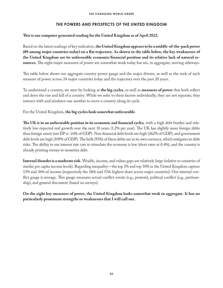#### **THE POWERS AND PROSPECTS OF THE UNITED KINGDOM**

#### **This is our computer generated reading for the United Kingdom as of April 2022.**

Based on the latest readings of key indicators, **the United Kingdom appears to be a middle-of-the-pack power (#8 among major countries today) on a flat trajectory. As shown in the table below, the key weaknesses of the United Kingdom are its unfavorable economic/financial position and its relative lack of natural resources**. The eight major measures of power are somewhat weak today but are, in aggregate, moving sideways.

The table below shows our aggregate country power gauge and the major drivers, as well as the rank of each measure of power across 24 major countries today and the trajectory over the past 20 years.

To understand a country, we start by looking at **the big cycles**, as well as **measures of power** that both reflect and drive the rise and fall of a country. While we refer to these factors individually, they are not separate; they interact with and reinforce one another to move a country along its cycle.

For the United Kingdom, **the big cycles look somewhat unfavorable**.

**The UK is in an unfavorable position in its economic and financial cycles**, with a high debt burden and relatively low expected real growth over the next 10 years (1.2% per year). The UK has slightly more foreign debts than foreign assets (net IIP is -24% of GDP). Non-financial debt levels are high (262% of GDP), and government debt levels are high (109% of GDP). The bulk (93%) of these debts are in its own currency, which mitigates its debt risks. The ability to use interest rate cuts to stimulate the economy is low (short rates at 0.4%), and the country is already printing money to monetize debt.

**Internal disorder is a moderate risk.** Wealth, income, and values gaps are relatively large (relative to countries of similar per capita income levels). Regarding inequality—the top 1% and top 10% in the United Kingdom capture 13% and 36% of income (respectively the 18th and 17th highest share across major countries). Our internal conflict gauge is average. This gauge measures actual conflict events (e.g., protests), political conflict (e.g., partisanship), and general discontent (based on surveys).

**On the eight key measures of power, the United Kingdom looks somewhat weak in aggregate. It has no particularly prominent strengths or weaknesses that I will call out.**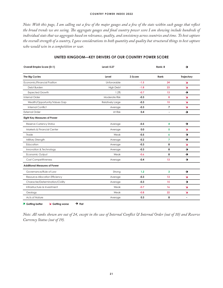*Note: With this page, I am calling out a few of the major gauges and a few of the stats within each gauge that reflect the broad trends we are seeing. The aggregate gauges and final country power score I am showing include hundreds of individual stats that we aggregate based on relevance, quality, and consistency across countries and time. To best capture the overall strength of a country, I gave considerations to both quantity and quality but structured things to best capture who would win in a competition or war.*

| Overall Empire Score (0-1)          | Level: 0.27             |         | Rank: 8        |                         |
|-------------------------------------|-------------------------|---------|----------------|-------------------------|
| The Big Cycles                      | Level                   | Z-Score | Rank           | Trajectory              |
| Economic/Financial Position         | Unfavorable             | $-1.5$  | 24             | $\blacktriangleright$   |
| Debt Burden                         | <b>High Debt</b>        | $-1.8$  | 23             | $\overline{\mathbf{M}}$ |
| <b>Expected Growth</b>              | 1.2%                    | $-0.7$  | 13             | $\rightarrow$           |
| Internal Order                      | Moderate Risk           | $-0.3$  | 8              | $\blacktriangleright$   |
| Wealth/Opportunity/Values Gap       | <b>Relatively Large</b> | $-0.3$  | 15             | М                       |
| <b>Internal Conflict</b>            | Average                 | $-0.3$  | 7              | М                       |
| <b>External Order</b>               | At Risk                 | 0.4     | $\blacksquare$ | $\rightarrow$           |
| <b>Eight Key Measures of Power</b>  |                         |         |                |                         |
| Reserve Currency Status             | Average                 | $-0.5$  | 4              | $\rightarrow$           |
| Markets & Financial Center          | Average                 | 0.0     | 5              | Σ                       |
| Trade                               | Weak                    | $-0.5$  | 6              | $\rightarrow$           |
| Military Strength                   | Average                 | $-0.2$  | 7              | →                       |
| Education                           | Average                 | $-0.3$  | 8              | М                       |
| Innovation & Technology             | Average                 | $-0.3$  | 8              | $\rightarrow$           |
| Economic Output                     | Weak                    | $-0.6$  | 8              | $\rightarrow$           |
| Cost Competitiveness                | Average                 | $-0.4$  | 13             | $\rightarrow$           |
| <b>Additional Measures of Power</b> |                         |         |                |                         |
| Governance/Rule of Law              | Strong                  | 1.2     | 3              | $\rightarrow$           |
| Resource-Allocation Efficiency      | Average                 | $-0.3$  | 13             | М                       |
| Character/Determination/Civility    | Average                 | $-0.3$  | 15             | $\rightarrow$           |
| Infrastructure & Investment         | Weak                    | $-0.7$  | 16             | $\blacktriangleright$   |
| Geology                             | Weak                    | $-0.8$  | 22             | М                       |
| <b>Acts of Nature</b>               | Average                 | 0.3     | 8              | ٠                       |

#### **UNITED KINGDOM—KEY DRIVERS OF OUR COUNTRY POWER SCORE**

 **A** Getting better ▲ Getting worse → Flat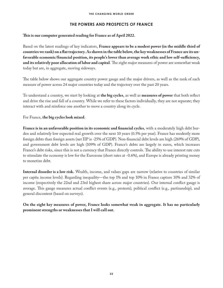#### **THE POWERS AND PROSPECTS OF FRANCE**

#### **This is our computer generated reading for France as of April 2022.**

Based on the latest readings of key indicators, **France appears to be a modest power (in the middle third of countries we rank) on a flat trajectory. As shown in the table below, the key weaknesses of France are its unfavorable economic/financial position, its people's lower than average work ethic and low self-sufficiency, and its relatively poor allocation of labor and capital**. The eight major measures of power are somewhat weak today but are, in aggregate, moving sideways.

The table below shows our aggregate country power gauge and the major drivers, as well as the rank of each measure of power across 24 major countries today and the trajectory over the past 20 years.

To understand a country, we start by looking at **the big cycles**, as well as **measures of power** that both reflect and drive the rise and fall of a country. While we refer to these factors individually, they are not separate; they interact with and reinforce one another to move a country along its cycle.

For France, **the big cycles look mixed**.

**France is in an unfavorable position in its economic and financial cycles**, with a moderately high debt burden and relatively low expected real growth over the next 10 years (0.5% per year). France has modestly more foreign debts than foreign assets (net IIP is -25% of GDP). Non-financial debt levels are high (269% of GDP), and government debt levels are high (109% of GDP). France's debts are largely in euros, which increases France's debt risks, since this is not a currency that France directly controls. The ability to use interest rate cuts to stimulate the economy is low for the Eurozone (short rates at -0.6%), and Europe is already printing money to monetize debt.

**Internal disorder is a low risk.** Wealth, income, and values gaps are narrow (relative to countries of similar per capita income levels). Regarding inequality—the top 1% and top 10% in France capture 10% and 32% of income (respectively the 22nd and 23rd highest share across major countries). Our internal conflict gauge is average. This gauge measures actual conflict events (e.g., protests), political conflict (e.g., partisanship), and general discontent (based on surveys).

**On the eight key measures of power, France looks somewhat weak in aggregate. It has no particularly prominent strengths or weaknesses that I will call out.**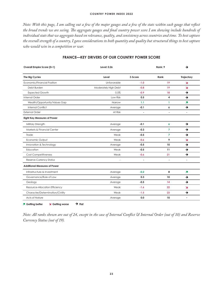*Note: With this page, I am calling out a few of the major gauges and a few of the stats within each gauge that reflect the broad trends we are seeing. The aggregate gauges and final country power score I am showing include hundreds of individual stats that we aggregate based on relevance, quality, and consistency across countries and time. To best capture the overall strength of a country, I gave considerations to both quantity and quality but structured things to best capture who would win in a competition or war.*

| Overall Empire Score (0-1)          | Level: 0.26              |                          | Rank: 9        |                       |
|-------------------------------------|--------------------------|--------------------------|----------------|-----------------------|
| The Big Cycles                      | Level                    | Z-Score                  | Rank           | <b>Trajectory</b>     |
| Economic/Financial Position         | Unfavorable              | $-1.0$                   | 19             | М                     |
| Debt Burden                         | Moderately High Debt     | $-0.8$                   | 19             | М                     |
| <b>Expected Growth</b>              | 0.5%                     | $-0.9$                   | 18             | →                     |
| <b>Internal Order</b>               | Low Risk                 | 0.5                      | 4              | $\rightarrow$         |
| Wealth/Opportunity/Values Gap       | Narrow                   | 1.1                      | 1              | $\blacktriangleright$ |
| <b>Internal Conflict</b>            | Average                  | $-0.1$                   | 6              | $\rightarrow$         |
| <b>External Order</b>               | At Risk                  | $\overline{a}$           | $\blacksquare$ | $\blacksquare$        |
| <b>Eight Key Measures of Power</b>  |                          |                          |                |                       |
| Military Strength                   | Average                  | $-0.1$                   | 6              | $\rightarrow$         |
| Markets & Financial Center          | Average                  | $-0.3$                   | $\overline{7}$ | →                     |
| Trade                               | Weak                     | $-0.5$                   | 7              | $\rightarrow$         |
| Economic Output                     | Weak                     | $-0.6$                   | 9              | М                     |
| Innovation & Technology             | Average                  | $-0.5$                   | 10             | $\rightarrow$         |
| Education                           | Weak                     | $-0.5$                   | 11             | $\rightarrow$         |
| <b>Cost Competitiveness</b>         | Weak                     | $-0.6$                   | 21             | $\rightarrow$         |
| Reserve Currency Status             | $\overline{\phantom{a}}$ | $\overline{\phantom{a}}$ | ÷              | $\blacksquare$        |
| <b>Additional Measures of Power</b> |                          |                          |                |                       |
| Infrastructure & Investment         | Average                  | $-0.2$                   | 8              | $\blacktriangleright$ |
| Governance/Rule of Law              | Average                  | 0.3                      | 10             | $\rightarrow$         |
| Geology                             | Average                  | $-0.5$                   | 14             | $\rightarrow$         |
| Resource-Allocation Efficiency      | Weak                     | $-1.6$                   | 22             | ⋊                     |
| Character/Determination/Civility    | Weak                     | $-1.5$                   | 23             | $\rightarrow$         |
| <b>Acts of Nature</b>               | Average                  | 0.0                      | 10             |                       |

#### **FRANCE—KEY DRIVERS OF OUR COUNTRY POWER SCORE**

 **★ Getting better ▲ Getting worse → Flat**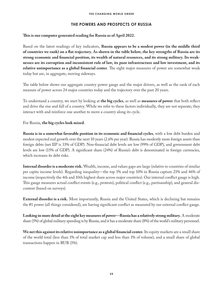#### **THE POWERS AND PROSPECTS OF RUSSIA**

#### **This is our computer generated reading for Russia as of April 2022.**

Based on the latest readings of key indicators, **Russia appears to be a modest power (in the middle third of countries we rank) on a flat trajectory. As shown in the table below, the key strengths of Russia are its strong economic and financial position, its wealth of natural resources, and its strong military. Its weaknesses are its corruption and inconsistent rule of law, its poor infrastructure and low investment, and its relative unimportance as a global financial center**. The eight major measures of power are somewhat weak today but are, in aggregate, moving sideways.

The table below shows our aggregate country power gauge and the major drivers, as well as the rank of each measure of power across 24 major countries today and the trajectory over the past 20 years.

To understand a country, we start by looking at **the big cycles**, as well as **measures of power** that both reflect and drive the rise and fall of a country. While we refer to these factors individually, they are not separate; they interact with and reinforce one another to move a country along its cycle.

For Russia, **the big cycles look mixed**.

**Russia is in a somewhat favorable position in its economic and financial cycles**, with a low debt burden and modest expected real growth over the next 10 years (2.6% per year). Russia has modestly more foreign assets than foreign debts (net IIP is 33% of GDP). Non-financial debt levels are low (99% of GDP), and government debt levels are low (15% of GDP). A significant share (24%) of Russia's debt is denominated in foreign currencies, which increases its debt risks.

**Internal disorder is a moderate risk.** Wealth, income, and values gaps are large (relative to countries of similar per capita income levels). Regarding inequality—the top 1% and top 10% in Russia capture 21% and 46% of income (respectively the 4th and 10th highest share across major countries). Our internal conflict gauge is high. This gauge measures actual conflict events (e.g., protests), political conflict (e.g., partisanship), and general discontent (based on surveys).

**External disorder is a risk.** Most importantly, Russia and the United States, which is declining but remains the #1 power (all things considered), are having significant conflict as measured by our external conflict gauge.

**Looking in more detail at the eight key measures of power—Russia has a relatively strong military.** A moderate share (5%) of global military spending is by Russia, and it has a moderate share (8%) of the world's military personnel.

**We net this against its relative unimportance as a global financial center.** Its equity markets are a small share of the world total (less than 1% of total market cap and less than 1% of volume), and a small share of global transactions happen in RUB (1%).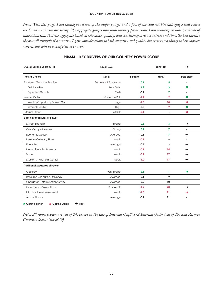*Note: With this page, I am calling out a few of the major gauges and a few of the stats within each gauge that reflect the broad trends we are seeing. The aggregate gauges and final country power score I am showing include hundreds of individual stats that we aggregate based on relevance, quality, and consistency across countries and time. To best capture the overall strength of a country, I gave considerations to both quantity and quality but structured things to best capture who would win in a competition or war.*

| Overall Empire Score (0-1)          | Level: 0.26        |         | <b>Rank: 10</b> |                          |
|-------------------------------------|--------------------|---------|-----------------|--------------------------|
| The Big Cycles                      | Level              | Z-Score | Rank            | Trajectory               |
| Economic/Financial Position         | Somewhat Favorable | 0.7     | 5               | $\blacksquare$           |
| Debt Burden                         | Low Debt           | 1.2     | 3               | $\blacktriangleright$    |
| <b>Expected Growth</b>              | 2.6%               | $-0.2$  | 7               | $\blacksquare$           |
| Internal Order                      | Moderate Risk      | $-1.2$  | 9               | $\blacktriangleright$    |
| Wealth/Opportunity/Values Gap       | Large              | $-1.8$  | 18              | $\blacktriangleright$    |
| Internal Conflict                   | High               | $-0.5$  | 9               | $\blacktriangleright$    |
| <b>External Order</b>               | At Risk            | $-2.1$  | ٠               | $\blacktriangleright$    |
| <b>Eight Key Measures of Power</b>  |                    |         |                 |                          |
| Military Strength                   | Strong             | 0.6     | 3               | →                        |
| <b>Cost Competitiveness</b>         | Strong             | 0.7     | $\overline{7}$  | $\blacksquare$           |
| Economic Output                     | Average            | $-0.5$  | 7               | $\rightarrow$            |
| Reserve Currency Status             | Weak               | $-0.7$  | 8               | $\overline{\phantom{a}}$ |
| Education                           | Average            | $-0.5$  | 9               | $\rightarrow$            |
| Innovation & Technology             | Weak               | $-0.7$  | 14              | $\rightarrow$            |
| Trade                               | Weak               | $-0.9$  | 17              | $\rightarrow$            |
| Markets & Financial Center          | Weak               | $-1.0$  | 17              | $\rightarrow$            |
| <b>Additional Measures of Power</b> |                    |         |                 |                          |
| Geology                             | Very Strong        | 2.1     | 1               | $\blacktriangleright$    |
| Resource-Allocation Efficiency      | Average            | $-0.1$  | 9               | $\blacksquare$           |
| Character/Determination/Civility    | Average            | 0.2     | 10              | $\blacksquare$           |
| Governance/Rule of Law              | Very Weak          | $-1.9$  | 20              | $\rightarrow$            |
| Infrastructure & Investment         | Weak               | $-1.0$  | 21              | $\blacktriangleright$    |
| <b>Acts of Nature</b>               | Average            | $-0.1$  | 11              | ٠                        |

#### **RUSSIA—KEY DRIVERS OF OUR COUNTRY POWER SCORE**

 **A** Getting better **M** Getting worse **→** Flat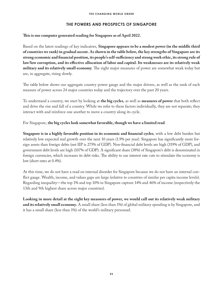#### **THE POWERS AND PROSPECTS OF SINGAPORE**

#### **This is our computer generated reading for Singapore as of April 2022.**

Based on the latest readings of key indicators, **Singapore appears to be a modest power (in the middle third of countries we rank) in gradual ascent. As shown in the table below, the key strengths of Singapore are its strong economic and financial position, its people's self-sufficiency and strong work ethic, its strong rule of law/low corruption, and its effective allocation of labor and capital. Its weaknesses are its relatively weak military and its relatively small economy**. The eight major measures of power are somewhat weak today but are, in aggregate, rising slowly.

The table below shows our aggregate country power gauge and the major drivers, as well as the rank of each measure of power across 24 major countries today and the trajectory over the past 20 years.

To understand a country, we start by looking at **the big cycles**, as well as **measures of power** that both reflect and drive the rise and fall of a country. While we refer to these factors individually, they are not separate; they interact with and reinforce one another to move a country along its cycle.

For Singapore, **the big cycles look somewhat favorable, though we have a limited read**.

**Singapore is in a highly favorable position in its economic and financial cycles**, with a low debt burden but relatively low expected real growth over the next 10 years (1.9% per year). Singapore has significantly more foreign assets than foreign debts (net IIP is 275% of GDP). Non-financial debt levels are high (319% of GDP), and government debt levels are high (107% of GDP). A significant share (38%) of Singapore's debt is denominated in foreign currencies, which increases its debt risks. The ability to use interest rate cuts to stimulate the economy is low (short rates at 0.4%).

At this time, we do not have a read on internal disorder for Singapore because we do not have an internal conflict gauge. Wealth, income, and values gaps are large (relative to countries of similar per capita income levels). Regarding inequality—the top 1% and top 10% in Singapore capture 14% and 46% of income (respectively the 13th and 9th highest share across major countries).

**Looking in more detail at the eight key measures of power, we would call out its relatively weak military and its relatively small economy.** A small share (less than 1%) of global military spending is by Singapore, and it has a small share (less than 1%) of the world's military personnel.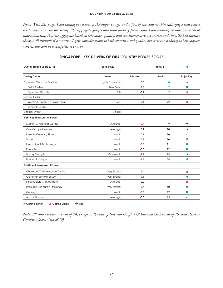*Note: With this page, I am calling out a few of the major gauges and a few of the stats within each gauge that reflect the broad trends we are seeing. The aggregate gauges and final country power score I am showing include hundreds of individual stats that we aggregate based on relevance, quality, and consistency across countries and time. To best capture the overall strength of a country, I gave considerations to both quantity and quality but structured things to best capture who would win in a competition or war.*

| Overall Empire Score (0-1)          | Level: 0.22             |                          | Rank: 11                 | Χ                        |
|-------------------------------------|-------------------------|--------------------------|--------------------------|--------------------------|
| The Big Cycles                      | Level                   | Z-Score                  | Rank                     | <b>Trajectory</b>        |
| Economic/Financial Position         | <b>Highly Favorable</b> | 0.8                      | 4                        | $\blacktriangleright$    |
| Debt Burden                         | Low Debt                | 1.6                      | $\overline{2}$           | $\blacktriangleright$    |
| <b>Expected Growth</b>              | 1.9%                    | $-0.4$                   | 9                        | $\blacktriangleright$    |
| <b>Internal Order</b>               | Ĭ.                      | $\overline{a}$           |                          | $\blacksquare$           |
| Wealth/Opportunity/Values Gap       | Large                   | $-2.1$                   | 22                       | М                        |
| <b>Internal Conflict</b>            | $\overline{a}$          | $\blacksquare$           | ٠                        | $\blacksquare$           |
| <b>External Order</b>               | At Risk                 | $\overline{\phantom{a}}$ | $\overline{\phantom{a}}$ | $\overline{\phantom{a}}$ |
| <b>Eight Key Measures of Power</b>  |                         |                          |                          |                          |
| Markets & Financial Center          | Average                 | $-0.4$                   | 9                        | $\rightarrow$            |
| Cost Competitiveness                | Average                 | 0.2                      | 10                       | →                        |
| Reserve Currency Status             | Weak                    | $-0.7$                   | 10                       | $\blacksquare$           |
| Trade                               | Weak                    | $-0.7$                   | 10                       | $\blacktriangleright$    |
| Innovation & Technology             | Weak                    | $-0.6$                   | 11                       | $\blacktriangleright$    |
| Education                           | Weak                    | $-0.5$                   | 12                       | $\blacktriangleright$    |
| Military Strength                   | Very Weak               | $-2.1$                   | 23                       | $\rightarrow$            |
| Economic Output                     | Weak                    | $-1.5$                   | 24                       | $\blacktriangleright$    |
| <b>Additional Measures of Power</b> |                         |                          |                          |                          |
| Character/Determination/Civility    | Very Strong             | 2.4                      | 1                        | $\blacktriangleright$    |
| Governance/Rule of Law              | Very Strong             | 2.3                      | 1                        | $\blacktriangleright$    |
| Infrastructure & Investment         | Average                 | $-0.2$                   | 7                        | $\blacktriangleright$    |
| Resource-Allocation Efficiency      | Very Strong             | 2.4                      | 10                       | $\blacktriangleright$    |
| Geology                             | Weak                    | $-0.6$                   | 17                       | $\blacktriangleright$    |
| <b>Acts of Nature</b>               | Average                 | $-0.3$                   | 15                       | $\blacksquare$           |

#### **SINGAPORE—KEY DRIVERS OF OUR COUNTRY POWER SCORE**

 **A** Getting better ▲ Getting worse → Flat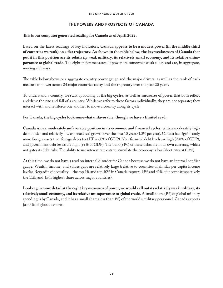#### **THE POWERS AND PROSPECTS OF CANADA**

#### **This is our computer generated reading for Canada as of April 2022.**

Based on the latest readings of key indicators, **Canada appears to be a modest power (in the middle third of countries we rank) on a flat trajectory. As shown in the table below, the key weaknesses of Canada that put it in this position are its relatively weak military, its relatively small economy, and its relative unimportance to global trade**. The eight major measures of power are somewhat weak today and are, in aggregate, moving sideways.

The table below shows our aggregate country power gauge and the major drivers, as well as the rank of each measure of power across 24 major countries today and the trajectory over the past 20 years.

To understand a country, we start by looking at **the big cycles**, as well as **measures of power** that both reflect and drive the rise and fall of a country. While we refer to these factors individually, they are not separate; they interact with and reinforce one another to move a country along its cycle.

For Canada, **the big cycles look somewhat unfavorable, though we have a limited read**.

**Canada is in a moderately unfavorable position in its economic and financial cycles**, with a moderately high debt burden and relatively low expected real growth over the next 10 years (1.2% per year). Canada has significantly more foreign assets than foreign debts (net IIP is 60% of GDP). Non-financial debt levels are high (281% of GDP), and government debt levels are high (99% of GDP). The bulk (91%) of these debts are in its own currency, which mitigates its debt risks. The ability to use interest rate cuts to stimulate the economy is low (short rates at 0.3%).

At this time, we do not have a read on internal disorder for Canada because we do not have an internal conflict gauge. Wealth, income, and values gaps are relatively large (relative to countries of similar per capita income levels). Regarding inequality—the top 1% and top 10% in Canada capture 15% and 41% of income (respectively the 11th and 15th highest share across major countries).

**Looking in more detail at the eight key measures of power, we would call out its relatively weak military, its relatively small economy, and its relative unimportance to global trade.** A small share (1%) of global military spending is by Canada, and it has a small share (less than 1%) of the world's military personnel. Canada exports just 3% of global exports.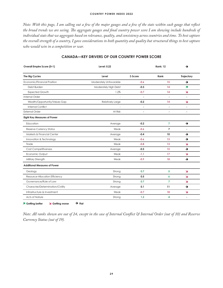*Note: With this page, I am calling out a few of the major gauges and a few of the stats within each gauge that reflect the broad trends we are seeing. The aggregate gauges and final country power score I am showing include hundreds of individual stats that we aggregate based on relevance, quality, and consistency across countries and time. To best capture the overall strength of a country, I gave considerations to both quantity and quality but structured things to best capture who would win in a competition or war.*

| Overall Empire Score (0-1)          | Level: 0.22             |                | <b>Rank: 12</b> |                          |
|-------------------------------------|-------------------------|----------------|-----------------|--------------------------|
| The Big Cycles                      | Level                   | Z-Score        | Rank            | <b>Trajectory</b>        |
| Economic/Financial Position         | Moderately Unfavorable  | $-0.6$         | 15              | →                        |
| Debt Burden                         | Moderately High Debt    | $-0.3$         | 14              | $\blacktriangleright$    |
| <b>Expected Growth</b>              | 1.2%                    | $-0.7$         | 14              | м                        |
| Internal Order                      |                         |                |                 | $\blacksquare$           |
| Wealth/Opportunity/Values Gap       | <b>Relatively Large</b> | $-0.2$         | 14              | $\blacktriangleright$    |
| Internal Conflict                   | $\overline{a}$          | $\overline{a}$ |                 |                          |
| <b>External Order</b>               | At Risk                 | $\overline{a}$ | $\blacksquare$  | $\blacksquare$           |
| <b>Eight Key Measures of Power</b>  |                         |                |                 |                          |
| Education                           | Average                 | $-0.2$         | $\overline{7}$  | $\rightarrow$            |
| Reserve Currency Status             | Weak                    | $-0.6$         | $\overline{7}$  | $\overline{\phantom{a}}$ |
| Markets & Financial Center          | Average                 | $-0.4$         | 10              | $\rightarrow$            |
| Innovation & Technology             | Weak                    | $-0.6$         | 13              | $\rightarrow$            |
| Trade                               | Weak                    | $-0.8$         | 13              | $\overline{\mathbf{M}}$  |
| <b>Cost Competitiveness</b>         | Average                 | $-0.5$         | 15              | $\rightarrow$            |
| Economic Output                     | Weak                    | $-1.1$         | 17              | $\blacktriangleright$    |
| Military Strength                   | Weak                    | $-0.9$         | 18              | $\rightarrow$            |
| <b>Additional Measures of Power</b> |                         |                |                 |                          |
| Geology                             | Strong                  | 0.7            | 5               | $\blacktriangleright$    |
| Resource-Allocation Efficiency      | Strong                  | 0.5            | 6               | М                        |
| Governance/Rule of Law              | Strong                  | 0.7            | 7               | $\blacktriangleright$    |
| Character/Determination/Civility    | Average                 | 0.1            | 11              | →                        |
| Infrastructure & Investment         | Weak                    | $-0.7$         | 18              | м                        |
| <b>Acts of Nature</b>               | Strong                  | 1.2            | 4               | $\blacksquare$           |

#### **CANADA—KEY DRIVERS OF OUR COUNTRY POWER SCORE**

 **A** Getting better ▲ Getting worse → Flat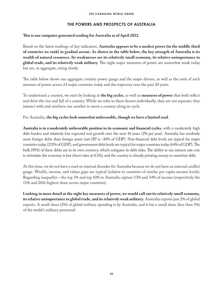#### **THE POWERS AND PROSPECTS OF AUSTRALIA**

#### **This is our computer generated reading for Australia as of April 2022.**

Based on the latest readings of key indicators, **Australia appears to be a modest power (in the middle third of countries we rank) in gradual ascent. As shown in the table below, the key strength of Australia is its wealth of natural resources. Its weaknesses are its relatively small economy, its relative unimportance to global trade, and its relatively weak military**. The eight major measures of power are somewhat weak today but are, in aggregate, rising slowly.

The table below shows our aggregate country power gauge and the major drivers, as well as the rank of each measure of power across 24 major countries today and the trajectory over the past 20 years.

To understand a country, we start by looking at **the big cycles**, as well as **measures of power** that both reflect and drive the rise and fall of a country. While we refer to these factors individually, they are not separate; they interact with and reinforce one another to move a country along its cycle.

For Australia, **the big cycles look somewhat unfavorable, though we have a limited read**.

**Australia is in a moderately unfavorable position in its economic and financial cycles**, with a moderately high debt burden and relatively low expected real growth over the next 10 years (2% per year). Australia has modestly more foreign debts than foreign assets (net IIP is -40% of GDP). Non-financial debt levels are typical for major countries today (231% of GDP), and government debt levels are typical for major countries today (64% of GDP). The bulk (95%) of these debts are in its own currency, which mitigates its debt risks. The ability to use interest rate cuts to stimulate the economy is low (short rates at 0.1%), and the country is already printing money to monetize debt.

At this time, we do not have a read on internal disorder for Australia because we do not have an internal conflict gauge. Wealth, income, and values gaps are typical (relative to countries of similar per capita income levels). Regarding inequality—the top 1% and top 10% in Australia capture 13% and 34% of income (respectively the 17th and 20th highest share across major countries).

**Looking in more detail at the eight key measures of power, we would call out its relatively small economy, its relative unimportance to global trade, and its relatively weak military.** Australia exports just 2% of global exports. A small share (2%) of global military spending is by Australia, and it has a small share (less than 1%) of the world's military personnel.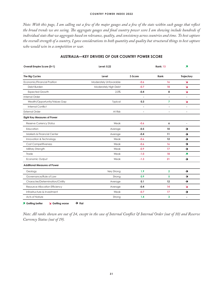*Note: With this page, I am calling out a few of the major gauges and a few of the stats within each gauge that reflect the broad trends we are seeing. The aggregate gauges and final country power score I am showing include hundreds of individual stats that we aggregate based on relevance, quality, and consistency across countries and time. To best capture the overall strength of a country, I gave considerations to both quantity and quality but structured things to best capture who would win in a competition or war.*

| Overall Empire Score (0-1)          | Level: 0.22            |                | <b>Rank: 13</b> | Х                        |
|-------------------------------------|------------------------|----------------|-----------------|--------------------------|
| The Big Cycles                      | Level                  | Z-Score        | Rank            | <b>Trajectory</b>        |
| Economic/Financial Position         | Moderately Unfavorable | $-0.6$         | 16              | $\blacktriangleright$    |
| Debt Burden                         | Moderately High Debt   | $-0.7$         | 18              | $\blacktriangleright$    |
| <b>Expected Growth</b>              | 2.0%                   | $-0.4$         | 8               | М                        |
| <b>Internal Order</b>               |                        |                |                 | $\blacksquare$           |
| Wealth/Opportunity/Values Gap       | Typical                | 0.3            | $\overline{7}$  | $\blacktriangleright$    |
| Internal Conflict                   |                        | $\overline{a}$ | $\blacksquare$  | $\blacksquare$           |
| <b>External Order</b>               | At Risk                | ä,             | $\blacksquare$  | $\blacksquare$           |
| <b>Eight Key Measures of Power</b>  |                        |                |                 |                          |
| Reserve Currency Status             | Weak                   | $-0.6$         | 6               | $\overline{\phantom{a}}$ |
| Education                           | Average                | $-0.5$         | 10              | →                        |
| Markets & Financial Center          | Average                | $-0.4$         | 11              | $\rightarrow$            |
| Innovation & Technology             | Weak                   | $-0.6$         | 12              | $\rightarrow$            |
| Cost Competitiveness                | Weak                   | $-0.6$         | 16              | $\rightarrow$            |
| Military Strength                   | Weak                   | $-0.9$         | 17              | $\rightarrow$            |
| Trade                               | Weak                   | $-1.0$         | 18              | $\overline{\mathbf{X}}$  |
| Economic Output                     | Weak                   | $-1.3$         | 21              | $\rightarrow$            |
| <b>Additional Measures of Power</b> |                        |                |                 |                          |
| Geology                             | Very Strong            | 1.9            | $\overline{2}$  | $\rightarrow$            |
| Governance/Rule of Law              | Strong                 | 0.9            | 5               | $\rightarrow$            |
| Character/Determination/Civility    | Average                | 0.1            | 12              | $\rightarrow$            |
| Resource-Allocation Efficiency      | Average                | $-0.4$         | 14              | $\blacktriangleright$    |
| Infrastructure & Investment         | Weak                   | $-0.7$         | 17              | →                        |
| <b>Acts of Nature</b>               | Strong                 | 1.4            | 3               | ٠                        |

#### **AUSTRALIA—KEY DRIVERS OF OUR COUNTRY POWER SCORE**

 **■ Getting better ■ Getting worse ■ → Flat**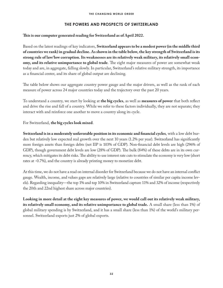#### **THE POWERS AND PROSPECTS OF SWITZERLAND**

#### **This is our computer generated reading for Switzerland as of April 2022.**

Based on the latest readings of key indicators, **Switzerland appears to be a modest power (in the middle third of countries we rank) in gradual decline. As shown in the table below, the key strength of Switzerland is its strong rule of law/low corruption. Its weaknesses are its relatively weak military, its relatively small economy, and its relative unimportance to global trade**. The eight major measures of power are somewhat weak today and are, in aggregate, falling slowly. In particular, Switzerland's relative military strength, its importance as a financial center, and its share of global output are declining.

The table below shows our aggregate country power gauge and the major drivers, as well as the rank of each measure of power across 24 major countries today and the trajectory over the past 20 years.

To understand a country, we start by looking at **the big cycles**, as well as **measures of power** that both reflect and drive the rise and fall of a country. While we refer to these factors individually, they are not separate; they interact with and reinforce one another to move a country along its cycle.

For Switzerland, **the big cycles look mixed**.

**Switzerland is in a moderately unfavorable position in its economic and financial cycles**, with a low debt burden but relatively low expected real growth over the next 10 years (1.2% per year). Switzerland has significantly more foreign assets than foreign debts (net IIP is 103% of GDP). Non-financial debt levels are high (296% of GDP), though government debt levels are low (28% of GDP). The bulk (84%) of these debts are in its own currency, which mitigates its debt risks. The ability to use interest rate cuts to stimulate the economy is very low (short rates at -0.7%), and the country is already printing money to monetize debt.

At this time, we do not have a read on internal disorder for Switzerland because we do not have an internal conflict gauge. Wealth, income, and values gaps are relatively large (relative to countries of similar per capita income levels). Regarding inequality—the top 1% and top 10% in Switzerland capture 11% and 32% of income (respectively the 20th and 22nd highest share across major countries).

**Looking in more detail at the eight key measures of power, we would call out its relatively weak military, its relatively small economy, and its relative unimportance to global trade.** A small share (less than 1%) of global military spending is by Switzerland, and it has a small share (less than 1%) of the world's military personnel. Switzerland exports just 2% of global exports.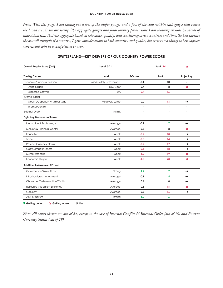*Note: With this page, I am calling out a few of the major gauges and a few of the stats within each gauge that reflect the broad trends we are seeing. The aggregate gauges and final country power score I am showing include hundreds of individual stats that we aggregate based on relevance, quality, and consistency across countries and time. To best capture the overall strength of a country, I gave considerations to both quantity and quality but structured things to best capture who would win in a competition or war.*

| Overall Empire Score (0-1)          | Level: 0.21             |                          | <b>Rank: 14</b> | ↘                     |
|-------------------------------------|-------------------------|--------------------------|-----------------|-----------------------|
| The Big Cycles                      | Level                   | Z-Score                  | Rank            | <b>Trajectory</b>     |
| Economic/Financial Position         | Moderately Unfavorable  | $-0.1$                   | 10              | $\blacksquare$        |
| Debt Burden                         | Low Debt                | 0.4                      | 8               | М                     |
| <b>Expected Growth</b>              | 1.2%                    | $-0.7$                   | 15              | $\overline{a}$        |
| Internal Order                      | ä,                      | $\overline{\phantom{a}}$ |                 | $\blacksquare$        |
| Wealth/Opportunity/Values Gap       | <b>Relatively Large</b> | 0.0                      | 13              | $\rightarrow$         |
| <b>Internal Conflict</b>            |                         | $\overline{a}$           |                 |                       |
| <b>External Order</b>               | At Risk                 | $\overline{a}$           | $\overline{a}$  | $\blacksquare$        |
| <b>Eight Key Measures of Power</b>  |                         |                          |                 |                       |
| Innovation & Technology             | Average                 | $-0.2$                   | $\overline{7}$  | →                     |
| Markets & Financial Center          | Average                 | $-0.3$                   | 8               | ≥                     |
| Education                           | Weak                    | $-0.7$                   | 13              | $\rightarrow$         |
| Trade                               | Weak                    | $-0.8$                   | 14              | $\rightarrow$         |
| Reserve Currency Status             | Weak                    | $-0.7$                   | 17              | $\rightarrow$         |
| <b>Cost Competitiveness</b>         | Weak                    | $-0.6$                   | 18              | $\rightarrow$         |
| Military Strength                   | Weak                    | $-1.2$                   | 19              | м                     |
| Economic Output                     | Weak                    | $-1.5$                   | 23              | $\blacktriangleright$ |
| <b>Additional Measures of Power</b> |                         |                          |                 |                       |
| Governance/Rule of Law              | Strong                  | $1.2$                    | $\overline{2}$  | $\rightarrow$         |
| Infrastructure & Investment         | Average                 | $-0.1$                   | 5               | →                     |
| Character/Determination/Civility    | Average                 | 0.4                      | 8               | $\rightarrow$         |
| Resource-Allocation Efficiency      | Average                 | $-0.5$                   | 15              | $\blacktriangleright$ |
| Geology                             | Average                 | $-0.5$                   | 16              | $\rightarrow$         |
| <b>Acts of Nature</b>               | Strong                  | 1.2                      | 5               | ٠                     |

#### **SWITZERLAND—KEY DRIVERS OF OUR COUNTRY POWER SCORE**

 **■ Getting better ■ Getting worse ■ → Flat**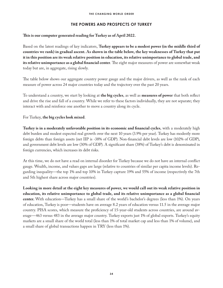#### **THE POWERS AND PROSPECTS OF TURKEY**

#### **This is our computer generated reading for Turkey as of April 2022.**

Based on the latest readings of key indicators, **Turkey appears to be a modest power (in the middle third of countries we rank) in gradual ascent. As shown in the table below, the key weaknesses of Turkey that put it in this position are its weak relative position in education, its relative unimportance to global trade, and its relative unimportance as a global financial center**. The eight major measures of power are somewhat weak today but are, in aggregate, rising slowly.

The table below shows our aggregate country power gauge and the major drivers, as well as the rank of each measure of power across 24 major countries today and the trajectory over the past 20 years.

To understand a country, we start by looking at **the big cycles**, as well as **measures of power** that both reflect and drive the rise and fall of a country. While we refer to these factors individually, they are not separate; they interact with and reinforce one another to move a country along its cycle.

For Turkey, **the big cycles look mixed**.

**Turkey is in a moderately unfavorable position in its economic and financial cycles**, with a moderately high debt burden and modest expected real growth over the next 10 years (3.9% per year). Turkey has modestly more foreign debts than foreign assets (net IIP is -38% of GDP). Non-financial debt levels are low (102% of GDP), and government debt levels are low (30% of GDP). A significant share (38%) of Turkey's debt is denominated in foreign currencies, which increases its debt risks.

At this time, we do not have a read on internal disorder for Turkey because we do not have an internal conflict gauge. Wealth, income, and values gaps are large (relative to countries of similar per capita income levels). Regarding inequality—the top 1% and top 10% in Turkey capture 19% and 55% of income (respectively the 7th and 5th highest share across major countries).

**Looking in more detail at the eight key measures of power, we would call out its weak relative position in education, its relative unimportance to global trade, and its relative unimportance as a global financial center.** With education—Turkey has a small share of the world's bachelor's degrees (less than 1%). On years of education, Turkey is poor—students have on average 8.2 years of education versus 11.5 in the average major country. PISA scores, which measure the proficiency of 15-year-old students across countries, are around average—463 versus 483 in the average major country. Turkey exports just 1% of global exports. Turkey's equity markets are a small share of the world total (less than 1% of total market cap and less than 1% of volume), and a small share of global transactions happen in TRY (less than 1%).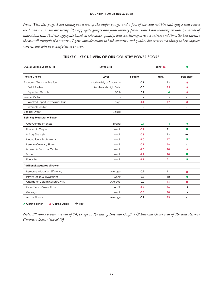*Note: With this page, I am calling out a few of the major gauges and a few of the stats within each gauge that reflect the broad trends we are seeing. The aggregate gauges and final country power score I am showing include hundreds of individual stats that we aggregate based on relevance, quality, and consistency across countries and time. To best capture the overall strength of a country, I gave considerations to both quantity and quality but structured things to best capture who would win in a competition or war.*

| Overall Empire Score (0-1)          | Level: 0.18            |                | <b>Rank: 15</b> | Χ                       |
|-------------------------------------|------------------------|----------------|-----------------|-------------------------|
| The Big Cycles                      | Level                  | Z-Score        | Rank            | Trajectory              |
| Economic/Financial Position         | Moderately Unfavorable | $-0.1$         | 12              | $\blacktriangleright$   |
| Debt Burden                         | Moderately High Debt   | $-0.5$         | 15              | М                       |
| <b>Expected Growth</b>              | 3.9%                   | 0.2            | 4               | $\blacktriangleright$   |
| <b>Internal Order</b>               | ÷.                     | ä,             | ÷,              | $\blacksquare$          |
| Wealth/Opportunity/Values Gap       | Large                  | $-1.1$         | 17              | М                       |
| Internal Conflict                   |                        | $\overline{a}$ |                 | $\blacksquare$          |
| <b>External Order</b>               | At Risk                | $\overline{a}$ | ÷,              | $\overline{a}$          |
| <b>Eight Key Measures of Power</b>  |                        |                |                 |                         |
| <b>Cost Competitiveness</b>         | Strong                 | 0.9            | 4               | $\blacktriangleright$   |
| Economic Output                     | Weak                   | $-0.7$         | 11              | $\blacktriangleright$   |
| Military Strength                   | Weak                   | $-0.6$         | 12              | $\rightarrow$           |
| Innovation & Technology             | Weak                   | $-1.0$         | 17              | $\blacktriangleright$   |
| Reserve Currency Status             | Weak                   | $-0.7$         | 18              | $\blacksquare$          |
| Markets & Financial Center          | Weak                   | $-1.0$         | 20              | $\blacktriangleright$   |
| Trade                               | Weak                   | $-1.2$         | 20              | $\overline{\mathbf{X}}$ |
| Education                           | Weak                   | $-1.7$         | 21              | $\blacktriangleright$   |
| <b>Additional Measures of Power</b> |                        |                |                 |                         |
| Resource-Allocation Efficiency      | Average                | $-0.2$         | 11              | $\blacktriangleright$   |
| Infrastructure & Investment         | Weak                   | $-0.5$         | 12              | $\blacktriangleright$   |
| Character/Determination/Civility    | Average                | 0.0            | 13              | $\blacktriangleright$   |
| Governance/Rule of Law              | Weak                   | $-1.2$         | 16              | $\rightarrow$           |
| Geology                             | Weak                   | $-0.6$         | 18              | →                       |
| Acts of Nature                      | Average                | $-0.1$         | 13              | $\blacksquare$          |

#### **TURKEY—KEY DRIVERS OF OUR COUNTRY POWER SCORE**

 **A** Getting better **M** Getting worse **→** Flat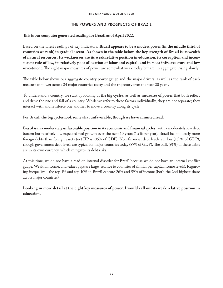#### **THE POWERS AND PROSPECTS OF BRAZIL**

#### **This is our computer generated reading for Brazil as of April 2022.**

Based on the latest readings of key indicators, **Brazil appears to be a modest power (in the middle third of countries we rank) in gradual ascent. As shown in the table below, the key strength of Brazil is its wealth of natural resources. Its weaknesses are its weak relative position in education, its corruption and inconsistent rule of law, its relatively poor allocation of labor and capital, and its poor infrastructure and low investment**. The eight major measures of power are somewhat weak today but are, in aggregate, rising slowly.

The table below shows our aggregate country power gauge and the major drivers, as well as the rank of each measure of power across 24 major countries today and the trajectory over the past 20 years.

To understand a country, we start by looking at **the big cycles**, as well as **measures of power** that both reflect and drive the rise and fall of a country. While we refer to these factors individually, they are not separate; they interact with and reinforce one another to move a country along its cycle.

For Brazil, **the big cycles look somewhat unfavorable, though we have a limited read**.

**Brazil is in a moderately unfavorable position in its economic and financial cycles**, with a moderately low debt burden but relatively low expected real growth over the next 10 years (1.9% per year). Brazil has modestly more foreign debts than foreign assets (net IIP is -35% of GDP). Non-financial debt levels are low (155% of GDP), though government debt levels are typical for major countries today (87% of GDP). The bulk (91%) of these debts are in its own currency, which mitigates its debt risks.

At this time, we do not have a read on internal disorder for Brazil because we do not have an internal conflict gauge. Wealth, income, and values gaps are large (relative to countries of similar per capita income levels). Regarding inequality—the top 1% and top 10% in Brazil capture 26% and 59% of income (both the 2nd highest share across major countries).

**Looking in more detail at the eight key measures of power, I would call out its weak relative position in education.**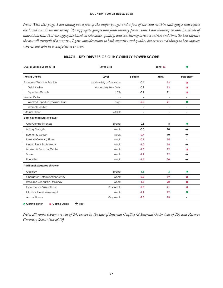*Note: With this page, I am calling out a few of the major gauges and a few of the stats within each gauge that reflect the broad trends we are seeing. The aggregate gauges and final country power score I am showing include hundreds of individual stats that we aggregate based on relevance, quality, and consistency across countries and time. To best capture the overall strength of a country, I gave considerations to both quantity and quality but structured things to best capture who would win in a competition or war.*

| Overall Empire Score (0-1)          | Level: 0.18            |                          | <b>Rank: 16</b> | Χ                        |
|-------------------------------------|------------------------|--------------------------|-----------------|--------------------------|
| The Big Cycles                      | Level                  | Z-Score                  | Rank            | <b>Trajectory</b>        |
| Economic/Financial Position         | Moderately Unfavorable | $-0.4$                   | 13              | М                        |
| Debt Burden                         | Moderately Low Debt    | $-0.2$                   | 13              | М                        |
| <b>Expected Growth</b>              | 1.9%                   | $-0.4$                   | 11              | М                        |
| <b>Internal Order</b>               | ÷.                     |                          | ÷.              | $\overline{a}$           |
| Wealth/Opportunity/Values Gap       | Large                  | $-2.0$                   | 21              | $\blacktriangleright$    |
| <b>Internal Conflict</b>            |                        | $\overline{\phantom{a}}$ | $\overline{a}$  | $\overline{\phantom{a}}$ |
| <b>External Order</b>               | At Risk                | ÷                        | ÷,              | ÷                        |
| <b>Eight Key Measures of Power</b>  |                        |                          |                 |                          |
| <b>Cost Competitiveness</b>         | Strong                 | 0.6                      | 8               | Χ                        |
| Military Strength                   | Weak                   | $-0.5$                   | 10              | $\rightarrow$            |
| Economic Output                     | Weak                   | $-0.7$                   | 10              | $\rightarrow$            |
| Reserve Currency Status             | Weak                   | $-0.7$                   | 14              |                          |
| Innovation & Technology             | Weak                   | $-1.0$                   | 18              | $\rightarrow$            |
| Markets & Financial Center          | Weak                   | $-1.0$                   | 19              | М                        |
| Trade                               | Weak                   | $-1.1$                   | 19              | $\rightarrow$            |
| Education                           | Weak                   | $-1.4$                   | 20              | $\rightarrow$            |
| <b>Additional Measures of Power</b> |                        |                          |                 |                          |
| Geology                             | Strong                 | 1.6                      | 3               | Χ                        |
| Character/Determination/Civility    | Weak                   | $-0.8$                   | 19              | М                        |
| Resource-Allocation Efficiency      | Weak                   | $-1.3$                   | 20              | $\blacktriangleright$    |
| Governance/Rule of Law              | Very Weak              | $-2.3$                   | 21              | М                        |
| Infrastructure & Investment         | Weak                   | $-1.1$                   | 22              | $\blacktriangleright$    |
| Acts of Nature                      | Very Weak              | $-2.3$                   | 23              | ä,                       |

#### **BRAZIL—KEY DRIVERS OF OUR COUNTRY POWER SCORE**

 **A** Getting better **M** Getting worse **→** Flat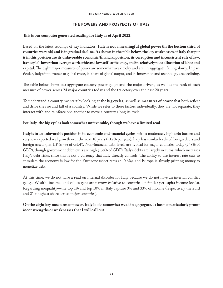#### **THE POWERS AND PROSPECTS OF ITALY**

#### **This is our computer generated reading for Italy as of April 2022.**

Based on the latest readings of key indicators, **Italy is not a meaningful global power (in the bottom third of countries we rank) and is in gradual decline. As shown in the table below, the key weaknesses of Italy that put it in this position are its unfavorable economic/financial position, its corruption and inconsistent rule of law, its people's lower than average work ethic and low self-sufficiency, and its relatively poor allocation of labor and capital.** The eight major measures of power are somewhat weak today and are, in aggregate, falling slowly. In particular, Italy's importance to global trade, its share of global output, and its innovation and technology are declining.

The table below shows our aggregate country power gauge and the major drivers, as well as the rank of each measure of power across 24 major countries today and the trajectory over the past 20 years.

To understand a country, we start by looking at **the big cycles**, as well as **measures of power** that both reflect and drive the rise and fall of a country. While we refer to these factors individually, they are not separate; they interact with and reinforce one another to move a country along its cycle.

#### For Italy, **the big cycles look somewhat unfavorable, though we have a limited read**.

**Italy is in an unfavorable position in its economic and financial cycles**, with a moderately high debt burden and very low expected real growth over the next 10 years (-0.7% per year). Italy has similar levels of foreign debts and foreign assets (net IIP is 4% of GDP). Non-financial debt levels are typical for major countries today (248% of GDP), though government debt levels are high (138% of GDP). Italy's debts are largely in euros, which increases Italy's debt risks, since this is not a currency that Italy directly controls. The ability to use interest rate cuts to stimulate the economy is low for the Eurozone (short rates at -0.6%), and Europe is already printing money to monetize debt.

At this time, we do not have a read on internal disorder for Italy because we do not have an internal conflict gauge. Wealth, income, and values gaps are narrow (relative to countries of similar per capita income levels). Regarding inequality—the top 1% and top 10% in Italy capture 9% and 33% of income (respectively the 23rd and 21st highest share across major countries).

#### **On the eight key measures of power, Italy looks somewhat weak in aggregate. It has no particularly prominent strengths or weaknesses that I will call out.**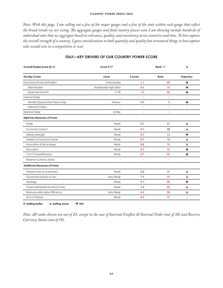*Note: With this page, I am calling out a few of the major gauges and a few of the stats within each gauge that reflect the broad trends we are seeing. The aggregate gauges and final country power score I am showing include hundreds of individual stats that we aggregate based on relevance, quality, and consistency across countries and time. To best capture the overall strength of a country, I gave considerations to both quantity and quality but structured things to best capture who would win in a competition or war.*

| Overall Empire Score (0-1)          | Level: 0.17          |                          | <b>Rank: 17</b>          | ⋊                        |
|-------------------------------------|----------------------|--------------------------|--------------------------|--------------------------|
| The Big Cycles                      | Level                | Z-Score                  | Rank                     | Trajectory               |
| Economic/Financial Position         | Unfavorable          | $-1.1$                   | 20                       | →                        |
| Debt Burden                         | Moderately High Debt | $-0.6$                   | 16                       | $\rightarrow$            |
| <b>Expected Growth</b>              | $-0.7%$              | $-1.3$                   | 23                       | $\rightarrow$            |
| Internal Order                      |                      | $\overline{\phantom{a}}$ | $\blacksquare$           | $\overline{\phantom{a}}$ |
| Wealth/Opportunity/Values Gap       | Narrow               | 0.9                      | 3                        | $\rightarrow$            |
| Internal Conflict                   |                      | $\overline{\phantom{a}}$ | $\blacksquare$           | $\blacksquare$           |
| <b>External Order</b>               | At Risk              | $\overline{a}$           | $\blacksquare$           | $\overline{a}$           |
| <b>Eight Key Measures of Power</b>  |                      |                          |                          |                          |
| Trade                               | Weak                 | $-0.7$                   | 11                       | $\blacktriangleright$    |
| Economic Output                     | Weak                 | $-0.7$                   | 12                       | ⋊                        |
| Military Strength                   | Weak                 | $-0.7$                   | 13                       | $\rightarrow$            |
| Markets & Financial Center          | Weak                 | $-0.7$                   | 14                       | М                        |
| Innovation & Technology             | Weak                 | $-0.8$                   | 15                       | $\blacktriangleright$    |
| Education                           | Weak                 | $-0.9$                   | 16                       | $\rightarrow$            |
| <b>Cost Competitiveness</b>         | Weak                 | $-0.7$                   | 22                       | $\rightarrow$            |
| Reserve Currency Status             | $\overline{a}$       | $\overline{\phantom{a}}$ | $\overline{\phantom{a}}$ | $\blacksquare$           |
| <b>Additional Measures of Power</b> |                      |                          |                          |                          |
| Infrastructure & Investment         | Weak                 | $-0.8$                   | 19                       | $\blacktriangleright$    |
| Governance/Rule of Law              | Very Weak            | $-1.9$                   | 19                       | $\blacktriangleright$    |
| Geology                             | Weak                 | $-0.7$                   | 20                       | $\rightarrow$            |
| Character/Determination/Civility    | Weak                 | $-1.4$                   | 22                       | $\blacktriangleright$    |
| Resource-Allocation Efficiency      | Very Weak            | $-2.4$                   | 24                       | $\blacktriangleright$    |
| <b>Acts of Nature</b>               | Weak                 | $-0.9$                   | 17                       | ٠                        |

#### **ITALY—KEY DRIVERS OF OUR COUNTRY POWER SCORE**

 **A** Getting better **M** Getting worse → Flat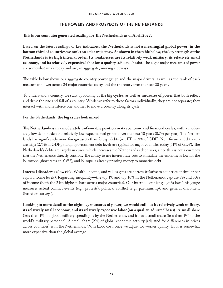#### **THE POWERS AND PROSPECTS OF THE NETHERLANDS**

#### **This is our computer generated reading for The Netherlands as of April 2022.**

Based on the latest readings of key indicators, **the Netherlands is not a meaningful global power (in the bottom third of countries we rank) on a flat trajectory. As shown in the table below, the key strength of the Netherlands is its high internal order. Its weaknesses are its relatively weak military, its relatively small economy, and its relatively expensive labor (on a quality-adjusted basis)**. The eight major measures of power are somewhat weak today and are, in aggregate, moving sideways.

The table below shows our aggregate country power gauge and the major drivers, as well as the rank of each measure of power across 24 major countries today and the trajectory over the past 20 years.

To understand a country, we start by looking at **the big cycles**, as well as **measures of power** that both reflect and drive the rise and fall of a country. While we refer to these factors individually, they are not separate; they interact with and reinforce one another to move a country along its cycle.

For the Netherlands, **the big cycles look mixed**.

**The Netherlands is in a moderately unfavorable position in its economic and financial cycles**, with a moderately low debt burden but relatively low expected real growth over the next 10 years (0.7% per year). The Netherlands has significantly more foreign assets than foreign debts (net IIP is 91% of GDP). Non-financial debt levels are high (275% of GDP), though government debt levels are typical for major countries today (51% of GDP). The Netherlands's debts are largely in euros, which increases the Netherlands's debt risks, since this is not a currency that the Netherlands directly controls. The ability to use interest rate cuts to stimulate the economy is low for the Eurozone (short rates at -0.6%), and Europe is already printing money to monetize debt.

**Internal disorder is a low risk.** Wealth, income, and values gaps are narrow (relative to countries of similar per capita income levels). Regarding inequality—the top 1% and top 10% in the Netherlands capture 7% and 30% of income (both the 24th highest share across major countries). Our internal conflict gauge is low. This gauge measures actual conflict events (e.g., protests), political conflict (e.g., partisanship), and general discontent (based on surveys).

**Looking in more detail at the eight key measures of power, we would call out its relatively weak military, its relatively small economy, and its relatively expensive labor (on a quality-adjusted basis).** A small share (less than 1%) of global military spending is by the Netherlands, and it has a small share (less than 1%) of the world's military personnel. A small share (2%) of global economic activity (adjusted for differences in prices across countries) is in the Netherlands. With labor cost, once we adjust for worker quality, labor is somewhat more expensive than the global average.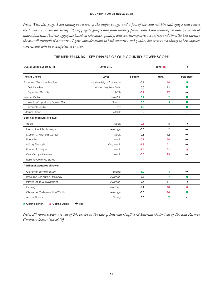*Note: With this page, I am calling out a few of the major gauges and a few of the stats within each gauge that reflect the broad trends we are seeing. The aggregate gauges and final country power score I am showing include hundreds of individual stats that we aggregate based on relevance, quality, and consistency across countries and time. To best capture the overall strength of a country, I gave considerations to both quantity and quality but structured things to best capture who would win in a competition or war.*

| Overall Empire Score (0-1)          | Level: 0.16              |                          | <b>Rank: 18</b> |                       |
|-------------------------------------|--------------------------|--------------------------|-----------------|-----------------------|
| The Big Cycles                      | Level                    | Z-Score                  | Rank            | Trajectory            |
| Economic/Financial Position         | Moderately Unfavorable   | $-0.5$                   | 14              | $\blacktriangleright$ |
| Debt Burden                         | Moderately Low Debt      | 0.0                      | 12              | $\blacktriangleright$ |
| <b>Expected Growth</b>              | 0.7%                     | $-0.9$                   | 17              | →                     |
| <b>Internal Order</b>               | Low Risk                 | 0.9                      | $\overline{2}$  | $\blacktriangleright$ |
| Wealth/Opportunity/Values Gap       | Narrow                   | 0.6                      | 5               | $\blacktriangleright$ |
| <b>Internal Conflict</b>            | Low                      | 1.3                      | 1               | $\blacktriangleright$ |
| <b>External Order</b>               | At Risk                  | $\overline{\phantom{a}}$ | ÷,              | $\blacksquare$        |
| <b>Eight Key Measures of Power</b>  |                          |                          |                 |                       |
| Trade                               | Weak                     | $-0.6$                   | 8               | $\rightarrow$         |
| Innovation & Technology             | Average                  | $-0.3$                   | 9               | $\rightarrow$         |
| Markets & Financial Center          | Weak                     | $-0.5$                   | 12              | $\rightarrow$         |
| Education                           | Weak                     | $-0.7$                   | 14              | $\rightarrow$         |
| Military Strength                   | Very Weak                | $-1.8$                   | 21              | $\rightarrow$         |
| Economic Output                     | Weak                     | $-1.4$                   | 22              | М                     |
| <b>Cost Competitiveness</b>         | Weak                     | $-0.8$                   | 23              | $\rightarrow$         |
| Reserve Currency Status             | $\overline{\phantom{a}}$ | $\blacksquare$           | ä,              | $\blacksquare$        |
| <b>Additional Measures of Power</b> |                          |                          |                 |                       |
| Governance/Rule of Law              | Strong                   | 1.0                      | 4               | $\rightarrow$         |
| Resource-Allocation Efficiency      | Average                  | 0.3                      | 7               | $\blacktriangleright$ |
| Infrastructure & Investment         | Average                  | $-0.4$                   | 11              | $\rightarrow$         |
| Geology                             | Average                  | $-0.4$                   | 13              | $\blacktriangleright$ |
| Character/Determination/Civility    | Average                  | $-0.3$                   | 14              | $\blacktriangleright$ |
| <b>Acts of Nature</b>               | Strong                   | 0.5                      | 7               | ä,                    |

#### **THE NETHERLANDS—KEY DRIVERS OF OUR COUNTRY POWER SCORE**

 **A** Getting better **M** Getting worse **→** Flat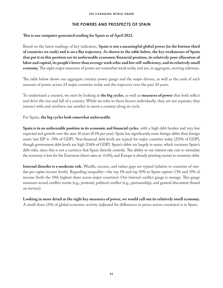#### **THE POWERS AND PROSPECTS OF SPAIN**

#### **This is our computer generated reading for Spain as of April 2022.**

Based on the latest readings of key indicators, **Spain is not a meaningful global power (in the bottom third of countries we rank) and is on a flat trajectory. As shown in the table below, the key weaknesses of Spain that put it in this position are its unfavorable economic/financial position, its relatively poor allocation of labor and capital, its people's lower than average work ethic and low self-sufficiency, and its relatively small economy**. The eight major measures of power are somewhat weak today and are, in aggregate, moving sideways.

The table below shows our aggregate country power gauge and the major drivers, as well as the rank of each measure of power across 24 major countries today and the trajectory over the past 20 years.

To understand a country, we start by looking at **the big cycles**, as well as **measures of power** that both reflect and drive the rise and fall of a country. While we refer to these factors individually, they are not separate; they interact with and reinforce one another to move a country along its cycle.

#### For Spain, **the big cycles look somewhat unfavorable**.

**Spain is in an unfavorable position in its economic and financial cycles**, with a high debt burden and very low expected real growth over the next 10 years (0.1% per year). Spain has significantly more foreign debts than foreign assets (net IIP is -74% of GDP). Non-financial debt levels are typical for major countries today (251% of GDP), though government debt levels are high (116% of GDP). Spain's debts are largely in euros, which increases Spain's debt risks, since this is not a currency that Spain directly controls. The ability to use interest rate cuts to stimulate the economy is low for the Eurozone (short rates at -0.6%), and Europe is already printing money to monetize debt.

**Internal disorder is a moderate risk.** Wealth, income, and values gaps are typical (relative to countries of similar per capita income levels). Regarding inequality—the top 1% and top 10% in Spain capture 13% and 35% of income (both the 19th highest share across major countries). Our internal conflict gauge is average. This gauge measures actual conflict events (e.g., protests), political conflict (e.g., partisanship), and general discontent (based on surveys).

#### **Looking in more detail at the eight key measures of power, we would call out its relatively small economy.** A small share (2%) of global economic activity (adjusted for differences in prices across countries) is in Spain.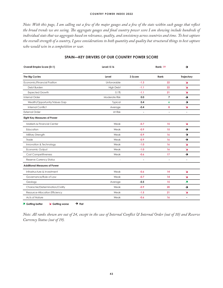*Note: With this page, I am calling out a few of the major gauges and a few of the stats within each gauge that reflect the broad trends we are seeing. The aggregate gauges and final country power score I am showing include hundreds of individual stats that we aggregate based on relevance, quality, and consistency across countries and time. To best capture the overall strength of a country, I gave considerations to both quantity and quality but structured things to best capture who would win in a competition or war.*

| Overall Empire Score (0-1)          | Level: 0.16      |                          | <b>Rank: 19</b> |                          |
|-------------------------------------|------------------|--------------------------|-----------------|--------------------------|
| The Big Cycles                      | Level            | Z-Score                  | Rank            | Trajectory               |
| Economic/Financial Position         | Unfavorable      | $-1.3$                   | 22              | $\blacktriangleright$    |
| Debt Burden                         | <b>High Debt</b> | $-1.1$                   | 22              | $\overline{\mathbf{M}}$  |
| <b>Expected Growth</b>              | 0.1%             | $-1.1$                   | 21              | ×                        |
| <b>Internal Order</b>               | Moderate Risk    | 0.0                      | $\overline{7}$  | $\rightarrow$            |
| Wealth/Opportunity/Values Gap       | Typical          | 0.4                      | 6               | →                        |
| Internal Conflict                   | Average          | $-0.4$                   | 8               | М                        |
| <b>External Order</b>               | At Risk          | $\overline{\phantom{a}}$ | ÷               | $\overline{\phantom{a}}$ |
| <b>Eight Key Measures of Power</b>  |                  |                          |                 |                          |
| Markets & Financial Center          | Weak             | $-0.7$                   | 15              | $\blacktriangleright$    |
| Education                           | Weak             | $-0.9$                   | 15              | $\rightarrow$            |
| Military Strength                   | Weak             | $-0.9$                   | 16              | $\rightarrow$            |
| Trade                               | Weak             | $-0.9$                   | 16              | $\rightarrow$            |
| Innovation & Technology             | Weak             | $-1.0$                   | 16              | М                        |
| Economic Output                     | Weak             | $-1.0$                   | 16              | $\blacktriangleright$    |
| <b>Cost Competitiveness</b>         | Weak             | $-0.6$                   | 17              | $\rightarrow$            |
| Reserve Currency Status             | ×.               | $\overline{a}$           |                 | $\overline{\phantom{a}}$ |
| <b>Additional Measures of Power</b> |                  |                          |                 |                          |
| Infrastructure & Investment         | Weak             | $-0.6$                   | 14              | $\blacktriangleright$    |
| Governance/Rule of Law              | Weak             | $-0.7$                   | 14              | М                        |
| Geology                             | Average          | $-0.5$                   | 15              | $\blacktriangleright$    |
| Character/Determination/Civility    | Weak             | $-0.9$                   | 20              | $\rightarrow$            |
| Resource-Allocation Efficiency      | Weak             | $-1.5$                   | 21              | М                        |
| <b>Acts of Nature</b>               | Weak             | $-0.6$                   | 16              | ٠                        |

#### **SPAIN—KEY DRIVERS OF OUR COUNTRY POWER SCORE**

 **A** Getting better **M** Getting worse **→** Flat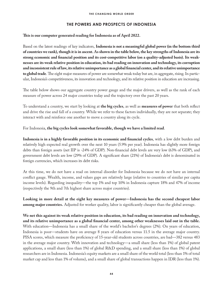#### **THE POWERS AND PROSPECTS OF INDONESIA**

#### **This is our computer generated reading for Indonesia as of April 2022.**

Based on the latest readings of key indicators, **Indonesia is not a meaningful global power (in the bottom third of countries we rank), though it is in ascent. As shown in the table below, the key strengths of Indonesia are its strong economic and financial position and its cost-competitive labor (on a quality-adjusted basis). Its weaknesses are its weak relative position in education, its bad reading on innovation and technology, its corruption and inconsistent rule of law, its relative unimportance as a global financial center, and its relative unimportance to global trade**. The eight major measures of power are somewhat weak today but are, in aggregate, rising. In particular, Indonesia's competitiveness, its innovation and technology, and its relative position in education are increasing.

The table below shows our aggregate country power gauge and the major drivers, as well as the rank of each measure of power across 24 major countries today and the trajectory over the past 20 years.

To understand a country, we start by looking at **the big cycles**, as well as **measures of power** that both reflect and drive the rise and fall of a country. While we refer to these factors individually, they are not separate; they interact with and reinforce one another to move a country along its cycle.

For Indonesia, **the big cycles look somewhat favorable, though we have a limited read**.

**Indonesia is in a highly favorable position in its economic and financial cycles**, with a low debt burden and relatively high expected real growth over the next 10 years (5.9% per year). Indonesia has slightly more foreign debts than foreign assets (net IIP is -24% of GDP). Non-financial debt levels are very low (63% of GDP), and government debt levels are low (29% of GDP). A significant share (21%) of Indonesia's debt is denominated in foreign currencies, which increases its debt risks.

At this time, we do not have a read on internal disorder for Indonesia because we do not have an internal conflict gauge. Wealth, income, and values gaps are relatively large (relative to countries of similar per capita income levels). Regarding inequality—the top 1% and top 10% in Indonesia capture 18% and 47% of income (respectively the 9th and 7th highest share across major countries).

**Looking in more detail at the eight key measures of power—Indonesia has the second cheapest labor among major countries.** Adjusted for worker quality, labor is significantly cheaper than the global average.

**We net this against its weak relative position in education, its bad reading on innovation and technology, and its relative unimportance as a global financial center, among other weaknesses laid out in the table.** With education—Indonesia has a small share of the world's bachelor's degrees (2%). On years of education, Indonesia is poor—students have on average 8 years of education versus 11.5 in the average major country. PISA scores, which measure the proficiency of 15-year-old students across countries, are bad—382 versus 483 in the average major country. With innovation and technology—a small share (less than 1%) of global patent applications, a small share (less than 1%) of global R&D spending, and a small share (less than 1%) of global researchers are in Indonesia. Indonesia's equity markets are a small share of the world total (less than 1% of total market cap and less than 1% of volume), and a small share of global transactions happen in IDR (less than 1%).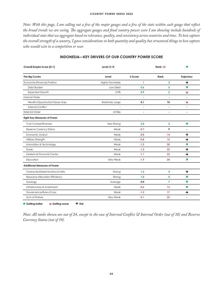*Note: With this page, I am calling out a few of the major gauges and a few of the stats within each gauge that reflect the broad trends we are seeing. The aggregate gauges and final country power score I am showing include hundreds of individual stats that we aggregate based on relevance, quality, and consistency across countries and time. To best capture the overall strength of a country, I gave considerations to both quantity and quality but structured things to best capture who would win in a competition or war.*

| Overall Empire Score (0-1)          | Level: 0.15             |                | <b>Rank: 20</b> | Χ                       |
|-------------------------------------|-------------------------|----------------|-----------------|-------------------------|
| The Big Cycles                      | Level                   | Z-Score        | Rank            | <b>Trajectory</b>       |
| Economic/Financial Position         | <b>Highly Favorable</b> | 1              | 3               | →                       |
| Debt Burden                         | Low Debt                | 0.6            | 5               | $\blacktriangleright$   |
| <b>Expected Growth</b>              | 5.9%                    | 0.9            | $\overline{2}$  | М                       |
| <b>Internal Order</b>               | ä,                      | $\overline{a}$ |                 | $\blacksquare$          |
| Wealth/Opportunity/Values Gap       | <b>Relatively Large</b> | 0.1            | 10              | $\overline{\mathbf{M}}$ |
| <b>Internal Conflict</b>            |                         | $\overline{a}$ | $\overline{a}$  | ÷                       |
| <b>External Order</b>               | At Risk                 | ä,             | $\overline{a}$  | ÷,                      |
| <b>Eight Key Measures of Power</b>  |                         |                |                 |                         |
| <b>Cost Competitiveness</b>         | Very Strong             | 2.0            | $\overline{2}$  | $\blacktriangleright$   |
| Reserve Currency Status             | Weak                    | $-0.7$         | 9               | ÷                       |
| Economic Output                     | Weak                    | $-0.8$         | 14              | $\rightarrow$           |
| Military Strength                   | Weak                    | $-0.8$         | 15              | $\rightarrow$           |
| Innovation & Technology             | Weak                    | $-1.2$         | 20              | $\blacktriangleright$   |
| Trade                               | Weak                    | $-1.2$         | 22              | $\rightarrow$           |
| Markets & Financial Center          | Weak                    | $-1.1$         | 23              | $\rightarrow$           |
| Education                           | Very Weak               | $-1.9$         | 24              | $\blacktriangleright$   |
| <b>Additional Measures of Power</b> |                         |                |                 |                         |
| Character/Determination/Civility    | Strong                  | 1.3            | 4               | $\rightarrow$           |
| Resource-Allocation Efficiency      | Strong                  | 1.0            | 4               | $\blacktriangleright$   |
| Geology                             | Average                 | 0.4            | $\overline{7}$  | $\blacktriangleright$   |
| Infrastructure & Investment         | Weak                    | $-0.6$         | 13              | $\blacktriangleright$   |
| Governance/Rule of Law              | Weak                    | $-1.3$         | 17              | $\rightarrow$           |
| <b>Acts of Nature</b>               | Very Weak               | $-2.1$         | 22              | ٠                       |

#### **INDONESIA—KEY DRIVERS OF OUR COUNTRY POWER SCORE**

 **A** Getting better **M** Getting worse **→** Flat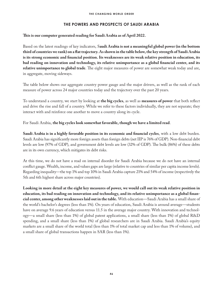#### **THE POWERS AND PROSPECTS OF SAUDI ARABIA**

#### **This is our computer generated reading for Saudi Arabia as of April 2022.**

Based on the latest readings of key indicators, S**audi Arabia is not a meaningful global power (in the bottom third of countries we rank) on a flat trajectory. As shown in the table below, the key strength of Saudi Arabia is its strong economic and financial position. Its weaknesses are its weak relative position in education, its bad reading on innovation and technology, its relative unimportance as a global financial center, and its relative unimportance to global trade**. The eight major measures of power are somewhat weak today and are, in aggregate, moving sideways.

The table below shows our aggregate country power gauge and the major drivers, as well as the rank of each measure of power across 24 major countries today and the trajectory over the past 20 years.

To understand a country, we start by looking at **the big cycles**, as well as **measures of power** that both reflect and drive the rise and fall of a country. While we refer to these factors individually, they are not separate; they interact with and reinforce one another to move a country along its cycle.

For Saudi Arabia, **the big cycles look somewhat favorable, though we have a limited read**.

**Saudi Arabia is in a highly favorable position in its economic and financial cycles**, with a low debt burden. Saudi Arabia has significantly more foreign assets than foreign debts (net IIP is 76% of GDP). Non-financial debt levels are low (97% of GDP), and government debt levels are low (32% of GDP). The bulk (86%) of these debts are in its own currency, which mitigates its debt risks.

At this time, we do not have a read on internal disorder for Saudi Arabia because we do not have an internal conflict gauge. Wealth, income, and values gaps are large (relative to countries of similar per capita income levels). Regarding inequality—the top 1% and top 10% in Saudi Arabia capture 21% and 54% of income (respectively the 5th and 6th highest share across major countries).

**Looking in more detail at the eight key measures of power, we would call out its weak relative position in education, its bad reading on innovation and technology, and its relative unimportance as a global financial center, among other weaknesses laid out in the table.** With education—Saudi Arabia has a small share of the world's bachelor's degrees (less than 1%). On years of education, Saudi Arabia is around average—students have on average 9.6 years of education versus 11.5 in the average major country. With innovation and technology—a small share (less than 1%) of global patent applications, a small share (less than 1%) of global R&D spending, and a small share (less than 1%) of global researchers are in Saudi Arabia. Saudi Arabia's equity markets are a small share of the world total (less than 1% of total market cap and less than 1% of volume), and a small share of global transactions happen in SAR (less than 1%).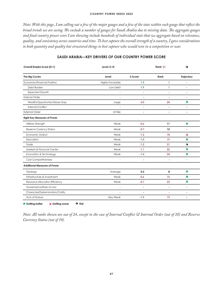*Note: With this page, I am calling out a few of the major gauges and a few of the stats within each gauge that reflect the broad trends we are seeing. We exclude a number of gauges for Saudi Arabia due to missing data. The aggregate gauges and final country power score I am showing include hundreds of individual stats that we aggregate based on relevance, quality, and consistency across countries and time. To best capture the overall strength of a country, I gave considerations to both quantity and quality but structured things to best capture who would win in a competition or war.*

| Overall Empire Score (0-1)          | Level: 0.14              | <b>Rank: 21</b>          |                          |                          |  |  |
|-------------------------------------|--------------------------|--------------------------|--------------------------|--------------------------|--|--|
| The Big Cycles                      | Level                    | Z-Score                  | Rank                     | Trajectory               |  |  |
| Economic/Financial Position         | <b>Highly Favorable</b>  | 1.9                      | 1                        | ÷                        |  |  |
| Debt Burden                         | Low Debt                 | 1.9                      | 1                        | $\overline{\phantom{a}}$ |  |  |
| <b>Expected Growth</b>              | $\overline{\phantom{a}}$ | $\blacksquare$           | $\blacksquare$           | $\overline{\phantom{a}}$ |  |  |
| Internal Order                      |                          | ٠                        |                          | ٠                        |  |  |
| Wealth/Opportunity/Values Gap       | Large                    | $-3.0$                   | 24                       |                          |  |  |
| Internal Conflict                   | ÷.                       | $\blacksquare$           | $\blacksquare$           |                          |  |  |
| <b>External Order</b>               | At Risk                  | $\blacksquare$           | ٠                        |                          |  |  |
| <b>Eight Key Measures of Power</b>  |                          |                          |                          |                          |  |  |
| Military Strength                   | Weak                     | $-0.6$                   | 11                       | Χ                        |  |  |
| Reserve Currency Status             | Weak                     | $-0.7$                   | 12                       |                          |  |  |
| Economic Output                     | Weak                     | $-1.2$                   | 18                       | $\blacktriangleright$    |  |  |
| Education                           | Weak                     | $-1.4$                   | 19                       | $\blacktriangleright$    |  |  |
| Trade                               | Weak                     | $-1.2$                   | 21                       | $\rightarrow$            |  |  |
| Markets & Financial Center          | Weak                     | $-1.1$                   | 22                       | $\blacktriangleright$    |  |  |
| Innovation & Technology             | Weak                     | $-1.4$                   | 24                       | $\blacktriangleright$    |  |  |
| <b>Cost Competitiveness</b>         | $\sim$                   | ÷,                       | $\overline{\phantom{a}}$ | $\blacksquare$           |  |  |
| <b>Additional Measures of Power</b> |                          |                          |                          |                          |  |  |
| Geology                             | Average                  | 0.3                      | 8                        |                          |  |  |
| Infrastructure & Investment         | Weak                     | $-0.6$<br>15             |                          | $\blacktriangleright$    |  |  |
| Resource-Allocation Efficiency      | Weak                     | $-0.7$                   | 23                       | $\blacktriangleright$    |  |  |
| Governance/Rule of Law              | $\sim$                   | ÷,                       | $\blacksquare$           | ä,                       |  |  |
| Character/Determination/Civility    | ÷.                       | $\overline{\phantom{a}}$ |                          | $\overline{\phantom{a}}$ |  |  |
| <b>Acts of Nature</b>               | Very Weak                | $-1.9$                   | 19<br>$\blacksquare$     |                          |  |  |

#### **SAUDI ARABIA—KEY DRIVERS OF OUR COUNTRY POWER SCORE**

 **A** Getting better ▲ Getting worse → Flat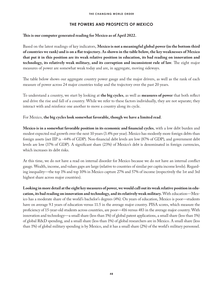#### **THE POWERS AND PROSPECTS OF MEXICO**

#### **This is our computer generated reading for Mexico as of April 2022.**

Based on the latest readings of key indicators, **Mexico is not a meaningful global power (in the bottom third of countries we rank) and is on a flat trajectory. As shown in the table below, the key weaknesses of Mexico that put it in this position are its weak relative position in education, its bad reading on innovation and technology, its relatively weak military, and its corruption and inconsistent rule of law**. The eight major measures of power are somewhat weak today and are, in aggregate, moving sideways.

The table below shows our aggregate country power gauge and the major drivers, as well as the rank of each measure of power across 24 major countries today and the trajectory over the past 20 years.

To understand a country, we start by looking at **the big cycles**, as well as **measures of power** that both reflect and drive the rise and fall of a country. While we refer to these factors individually, they are not separate; they interact with and reinforce one another to move a country along its cycle.

For Mexico, **the big cycles look somewhat favorable, though we have a limited read**.

**Mexico is in a somewhat favorable position in its economic and financial cycles**, with a low debt burden and modest expected real growth over the next 10 years (3.4% per year). Mexico has modestly more foreign debts than foreign assets (net IIP is -44% of GDP). Non-financial debt levels are low (87% of GDP), and government debt levels are low (37% of GDP). A significant share (23%) of Mexico's debt is denominated in foreign currencies, which increases its debt risks.

At this time, we do not have a read on internal disorder for Mexico because we do not have an internal conflict gauge. Wealth, income, and values gaps are large (relative to countries of similar per capita income levels). Regarding inequality—the top 1% and top 10% in Mexico capture 27% and 57% of income (respectively the 1st and 3rd highest share across major countries).

**Looking in more detail at the eight key measures of power, we would call out its weak relative position in education, its bad reading on innovation and technology, and its relatively weak military.** With education—Mexico has a moderate share of the world's bachelor's degrees (4%). On years of education, Mexico is poor—students have on average 9.1 years of education versus 11.5 in the average major country. PISA scores, which measure the proficiency of 15-year-old students across countries, are poor—416 versus 483 in the average major country. With innovation and technology—a small share (less than 1%) of global patent applications, a small share (less than 1%) of global R&D spending, and a small share (less than 1%) of global researchers are in Mexico. A small share (less than 1%) of global military spending is by Mexico, and it has a small share (2%) of the world's military personnel.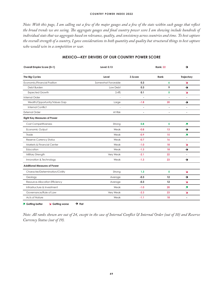*Note: With this page, I am calling out a few of the major gauges and a few of the stats within each gauge that reflect the broad trends we are seeing. The aggregate gauges and final country power score I am showing include hundreds of individual stats that we aggregate based on relevance, quality, and consistency across countries and time. To best capture the overall strength of a country, I gave considerations to both quantity and quality but structured things to best capture who would win in a competition or war.*

| Overall Empire Score (0-1)          | Level: 0.13        | <b>Rank: 22</b>          |                |                       |  |  |  |
|-------------------------------------|--------------------|--------------------------|----------------|-----------------------|--|--|--|
| The Big Cycles                      | Level              | Z-Score                  | Rank           | Trajectory            |  |  |  |
| Economic/Financial Position         | Somewhat Favorable | 0.3                      | 6              | М                     |  |  |  |
| Debt Burden                         | Low Debt           | 0.3                      | 9              | $\rightarrow$         |  |  |  |
| <b>Expected Growth</b>              | 3.4%               | 0.1                      | 5              |                       |  |  |  |
| Internal Order                      | ä,                 | $\overline{a}$           |                |                       |  |  |  |
| Wealth/Opportunity/Values Gap       | Large              | $-1.8$                   | 20             |                       |  |  |  |
| <b>Internal Conflict</b>            |                    | ÷,                       | ÷              |                       |  |  |  |
| <b>External Order</b>               | At Risk            | $\overline{\phantom{a}}$ | $\blacksquare$ | ٠                     |  |  |  |
| <b>Eight Key Measures of Power</b>  |                    |                          |                |                       |  |  |  |
| Cost Competitiveness                | Strong             | 0.8                      | 5              | Χ                     |  |  |  |
| Economic Output                     | Weak               | $-0.8$                   | 13             | $\rightarrow$         |  |  |  |
| Trade                               | Weak               | $-0.9$                   | 15             | $\blacktriangleright$ |  |  |  |
| Reserve Currency Status             | Weak               | $-0.7$                   | 16             | $\blacksquare$        |  |  |  |
| Markets & Financial Center          | Weak               | $-1.0$                   | 18             | М                     |  |  |  |
| Education                           | Weak               | $-1.3$                   | 18             | $\rightarrow$         |  |  |  |
| Military Strength                   | Very Weak          | $-2.1$                   | 22             | ÷,                    |  |  |  |
| Innovation & Technology             | Weak               | $-1.3$                   | 23             |                       |  |  |  |
| <b>Additional Measures of Power</b> |                    |                          |                |                       |  |  |  |
| Character/Determination/Civility    | Strong             | 1.3                      | 5              |                       |  |  |  |
| Geology                             | Average            | $-0.3$                   | 12             |                       |  |  |  |
| Resource-Allocation Efficiency      | Average            | $-0.3$                   | м              |                       |  |  |  |
| Infrastructure & Investment         | Weak               | $-1.0$                   | 20             |                       |  |  |  |
| Governance/Rule of Law              | Very Weak          | $-2.3$                   | 23             |                       |  |  |  |
| <b>Acts of Nature</b>               | Weak               | $-1.1$                   | 18<br>٠        |                       |  |  |  |

#### **MEXICO—KEY DRIVERS OF OUR COUNTRY POWER SCORE**

**A** Getting better **M** Getting worse  $\rightarrow$  Flat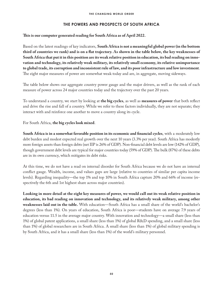#### **THE POWERS AND PROSPECTS OF SOUTH AFRICA**

#### **This is our computer generated reading for South Africa as of April 2022.**

Based on the latest readings of key indicators, **South Africa is not a meaningful global power (in the bottom third of countries we rank) and is on a flat trajectory. As shown in the table below, the key weaknesses of South Africa that put it in this position are its weak relative position in education, its bad reading on innovation and technology, its relatively weak military, its relatively small economy, its relative unimportance to global trade, its corruption and inconsistent rule of law, and its poor infrastructure and low investment**. The eight major measures of power are somewhat weak today and are, in aggregate, moving sideways.

The table below shows our aggregate country power gauge and the major drivers, as well as the rank of each measure of power across 24 major countries today and the trajectory over the past 20 years.

To understand a country, we start by looking at **the big cycles**, as well as **measures of power** that both reflect and drive the rise and fall of a country. While we refer to these factors individually, they are not separate; they interact with and reinforce one another to move a country along its cycle.

For South Africa, **the big cycles look mixed**.

**South Africa is in a somewhat favorable position in its economic and financial cycles**, with a moderately low debt burden and modest expected real growth over the next 10 years (3.3% per year). South Africa has modestly more foreign assets than foreign debts (net IIP is 26% of GDP). Non-financial debt levels are low (142% of GDP), though government debt levels are typical for major countries today (59% of GDP). The bulk (87%) of these debts are in its own currency, which mitigates its debt risks.

At this time, we do not have a read on internal disorder for South Africa because we do not have an internal conflict gauge. Wealth, income, and values gaps are large (relative to countries of similar per capita income levels). Regarding inequality—the top 1% and top 10% in South Africa capture 20% and 66% of income (respectively the 6th and 1st highest share across major countries).

**Looking in more detail at the eight key measures of power, we would call out its weak relative position in education, its bad reading on innovation and technology, and its relatively weak military, among other weaknesses laid out in the table.** With education—South Africa has a small share of the world's bachelor's degrees (less than 1%). On years of education, South Africa is poor—students have on average 7.9 years of education versus 11.5 in the average major country. With innovation and technology—a small share (less than 1%) of global patent applications, a small share (less than 1%) of global R&D spending, and a small share (less than 1%) of global researchers are in South Africa. A small share (less than 1%) of global military spending is by South Africa, and it has a small share (less than 1%) of the world's military personnel.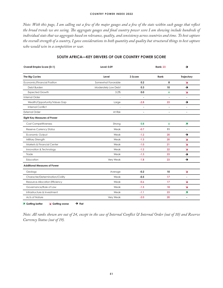*Note: With this page, I am calling out a few of the major gauges and a few of the stats within each gauge that reflect the broad trends we are seeing. The aggregate gauges and final country power score I am showing include hundreds of individual stats that we aggregate based on relevance, quality, and consistency across countries and time. To best capture the overall strength of a country, I gave considerations to both quantity and quality but structured things to best capture who would win in a competition or war.*

| Overall Empire Score (0-1)          | <b>Level: 0.09</b>  | <b>Rank: 23</b> |                                  |                         |  |  |  |
|-------------------------------------|---------------------|-----------------|----------------------------------|-------------------------|--|--|--|
| The Big Cycles                      | Level               | Z-Score         | Rank                             | Trajectory              |  |  |  |
| Economic/Financial Position         | Somewhat Favorable  | 0.2             | 8                                | м                       |  |  |  |
| Debt Burden                         | Moderately Low Debt | 0.3             | 10                               | $\rightarrow$           |  |  |  |
| <b>Expected Growth</b>              | 3.2%                | 0.0             | 6                                | М                       |  |  |  |
| Internal Order                      |                     | ٠               |                                  | ٠                       |  |  |  |
| Wealth/Opportunity/Values Gap       | Large               | $-2.8$          | 23                               | $\rightarrow$           |  |  |  |
| Internal Conflict                   | ÷,                  | $\blacksquare$  |                                  |                         |  |  |  |
| <b>External Order</b>               | At Risk             | $\overline{a}$  | $\overline{a}$<br>$\blacksquare$ |                         |  |  |  |
| <b>Eight Key Measures of Power</b>  |                     |                 |                                  |                         |  |  |  |
| <b>Cost Competitiveness</b>         | Strong              | 0.8             | 6                                | $\blacktriangleright$   |  |  |  |
| <b>Reserve Currency Status</b>      | Weak                | $-0.7$          | 11                               | ä,                      |  |  |  |
| Economic Output                     | Weak                | $-1.2$          | 20                               | $\rightarrow$           |  |  |  |
| Military Strength                   | Weak                | $-1.3$          | 20                               |                         |  |  |  |
| Markets & Financial Center          | Weak                | $-1.0$          | 21                               | $\overline{\mathbf{M}}$ |  |  |  |
| Innovation & Technology             | Weak                | $-1.2$          | 22                               | М                       |  |  |  |
| Trade                               | Weak                | $-1.3$          | 23                               | $\rightarrow$           |  |  |  |
| Education                           | Very Weak           | $-1.8$          | 23                               |                         |  |  |  |
| <b>Additional Measures of Power</b> |                     |                 |                                  |                         |  |  |  |
| Geology                             | Average             | $-0.2$          | 10                               |                         |  |  |  |
| Character/Determination/Civility    | Weak                | $-0.5$          | 17                               |                         |  |  |  |
| Resource-Allocation Efficiency      | Weak                | $-0.6$          | $\blacktriangleright$            |                         |  |  |  |
| Governance/Rule of Law              | Weak                | $-1.5$          | 18                               |                         |  |  |  |
| Infrastructure & Investment         | Weak                | $-1.1$          | 23                               |                         |  |  |  |
| <b>Acts of Nature</b>               | Very Weak           | $-2.0$          | 20<br>ä,                         |                         |  |  |  |

#### **SOUTH AFRICA—KEY DRIVERS OF OUR COUNTRY POWER SCORE**

 **A** Getting better **M** Getting worse **→** Flat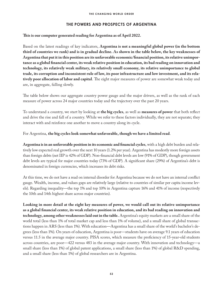#### **THE POWERS AND PROSPECTS OF ARGENTINA**

#### **This is our computer generated reading for Argentina as of April 2022.**

Based on the latest readings of key indicators, **Argentina is not a meaningful global power (in the bottom third of countries we rank) and is in gradual decline. As shown in the table below, the key weaknesses of Argentina that put it in this position are its unfavorable economic/financial position, its relative unimportance as a global financial center, its weak relative position in education, its bad reading on innovation and technology, its relatively weak military, its relatively small economy, its relative unimportance to global trade, its corruption and inconsistent rule of law, its poor infrastructure and low investment, and its relatively poor allocation of labor and capital**. The eight major measures of power are somewhat weak today and are, in aggregate, falling slowly.

The table below shows our aggregate country power gauge and the major drivers, as well as the rank of each measure of power across 24 major countries today and the trajectory over the past 20 years.

To understand a country, we start by looking at **the big cycles**, as well as **measures of power** that both reflect and drive the rise and fall of a country. While we refer to these factors individually, they are not separate; they interact with and reinforce one another to move a country along its cycle.

#### For Argentina, **the big cycles look somewhat unfavorable, though we have a limited read**.

**Argentina is in an unfavorable position in its economic and financial cycles**, with a high debt burden and relatively low expected real growth over the next 10 years (1.2% per year). Argentina has modestly more foreign assets than foreign debts (net IIP is 42% of GDP). Non-financial debt levels are low (91% of GDP), though government debt levels are typical for major countries today (73% of GDP). A significant share (29%) of Argentina's debt is denominated in foreign currencies, which increases its debt risks.

At this time, we do not have a read on internal disorder for Argentina because we do not have an internal conflict gauge. Wealth, income, and values gaps are relatively large (relative to countries of similar per capita income levels). Regarding inequality—the top 1% and top 10% in Argentina capture 16% and 41% of income (respectively the 10th and 14th highest share across major countries).

**Looking in more detail at the eight key measures of power, we would call out its relative unimportance as a global financial center, its weak relative position in education, and its bad reading on innovation and technology, among other weaknesses laid out in the table.** Argentina's equity markets are a small share of the world total (less than 1% of total market cap and less than 1% of volume), and a small share of global transactions happen in ARS (less than 1%). With education—Argentina has a small share of the world's bachelor's degrees (less than 1%). On years of education, Argentina is poor—students have on average 9.1 years of education versus 11.5 in the average major country. PISA scores, which measure the proficiency of 15-year-old students across countries, are poor—422 versus 483 in the average major country. With innovation and technology—a small share (less than 1%) of global patent applications, a small share (less than 1%) of global R&D spending, and a small share (less than 1%) of global researchers are in Argentina.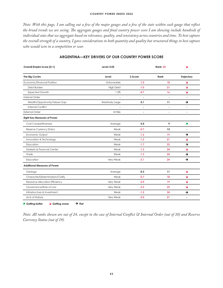*Note: With this page, I am calling out a few of the major gauges and a few of the stats within each gauge that reflect the broad trends we are seeing. The aggregate gauges and final country power score I am showing include hundreds of individual stats that we aggregate based on relevance, quality, and consistency across countries and time. To best capture the overall strength of a country, I gave considerations to both quantity and quality but structured things to best capture who would win in a competition or war.*

| Overall Empire Score (0-1)          | Level: 0.05             | <b>Rank: 24</b> | У                     |                       |  |  |
|-------------------------------------|-------------------------|-----------------|-----------------------|-----------------------|--|--|
| The Big Cycles                      | Level                   | Z-Score         | Rank                  | Trajectory            |  |  |
| Economic/Financial Position         | Unfavorable             | $-1.0$          | 18                    | м                     |  |  |
| Debt Burden                         | <b>High Debt</b>        | $-1.0$          | 21                    | Я                     |  |  |
| <b>Expected Growth</b>              | 1.2%                    | $-0.7$          | 16                    | М                     |  |  |
| <b>Internal Order</b>               |                         |                 |                       |                       |  |  |
| Wealth/Opportunity/Values Gap       | <b>Relatively Large</b> | 0.1             | 11                    | $\rightarrow$         |  |  |
| Internal Conflict                   |                         | ÷,              |                       |                       |  |  |
| <b>External Order</b>               | At Risk                 | ä,              | $\overline{a}$        |                       |  |  |
| <b>Eight Key Measures of Power</b>  |                         |                 |                       |                       |  |  |
| <b>Cost Competitiveness</b>         | Average                 | 0.4             | 9                     | $\blacktriangleright$ |  |  |
| <b>Reserve Currency Status</b>      | Weak                    | $-0.7$          | 13                    |                       |  |  |
| Economic Output                     | Weak                    | $-1.2$          | 19                    | $\rightarrow$         |  |  |
| Innovation & Technology             | Weak                    | $-1.2$          | 21                    | ⋊                     |  |  |
| Education                           | Weak                    | $-1.7$          | 22                    | $\rightarrow$         |  |  |
| Markets & Financial Center          | Weak                    | $-1.3$          | 24                    | М                     |  |  |
| Trade                               | Weak                    | $-1.3$          | 24                    | $\rightarrow$         |  |  |
| Education                           | Very Weak               | $-2.1$          | 24                    | $\rightarrow$         |  |  |
| <b>Additional Measures of Power</b> |                         |                 |                       |                       |  |  |
| Geology                             | Average                 | $-0.3$          | 11                    | $\blacktriangleright$ |  |  |
| Character/Determination/Civility    | Weak                    | $-0.7$          | 18                    |                       |  |  |
| Resource-Allocation Efficiency      | Very Weak               | $-2.4$          | $\blacktriangleright$ |                       |  |  |
| Governance/Rule of Law              | Very Weak               | $-2.3$          | 22                    | $\blacktriangleright$ |  |  |
| Infrastructure & Investment         | Weak                    | $-1.5$          | 24                    |                       |  |  |
| <b>Acts of Nature</b>               | Very Weak               | $-2.0$          | 21<br>٠               |                       |  |  |

#### **ARGENTINA—KEY DRIVERS OF OUR COUNTRY POWER SCORE**

 **A** Getting better **M** Getting worse **→** Flat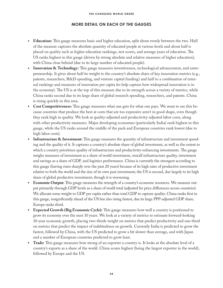#### **MORE DETAIL ON EACH OF THE GAUGES**

- **Education:** This gauge measures basic and higher education, split about evenly between the two. Half of the measure captures the absolute quantity of educated people at various levels and about half is placed on quality such as higher education rankings, test scores, and average years of education. The US ranks highest in this gauge (driven by strong absolute and relative measures of higher education), with China close behind (due to its large number of educated people).
- **Innovation & Technology:** This gauge measures inventiveness, technological advancement, and entrepreneurship. It gives about half its weight to the country's absolute share of key innovation metrics (e.g., patents, researchers, R&D spending, and venture capital funding) and half to a combination of external rankings and measures of innovation per capita (to help capture how widespread innovation is in the economy). The US is at the top of this measure due to its strength across a variety of metrics, while China ranks second due to its large share of global research spending, researchers, and patents. China is rising quickly in this area.
- Cost Competitiveness: This gauge measures what one gets for what one pays. We want to see this because countries that produce the best at costs that are too expensive aren't in good shape, even though they rank high in quality. We look at quality-adjusted and productivity-adjusted labor costs, along with other productivity measures. Major developing economies (particularly India) rank highest in this gauge, while the US ranks around the middle of the pack and European countries rank lowest (due to high labor costs).
- **Infrastructure & Investment:** This gauge measures the quantity of infrastructure and investment spending and the quality of it. It captures a country's absolute share of global investment, as well as the extent to which a country prioritizes quality of infrastructure and productivity-enhancing investments. The gauge weighs measures of investment as a share of world investment, overall infrastructure quality, investment and savings as a share of GDP, and logistics performance. China is currently the strongest according to this gauge (having risen sharply over the past 20 years) because of its high rates of productive investment relative to both the world and the size of its own past investment; the US is second, due largely to its high share of global productive investment, though it is worsening.
- **Economic Output:** This gauge measures the strength of a country's economic resources. We measure output primarily through GDP levels as a share of world total (adjusted for price differences across countries). We allocate some weight to GDP per capita rather than total GDP to capture quality. China ranks first in this gauge, insignificantly ahead of the US but also rising fastest, due its large PPP-adjusted GDP share. Europe ranks third.
- **Expected Growth (Big Economic Cycle):** This gauge measures how well a country is positioned to grow its economy over the next 10 years. We look at a variety of metrics to estimate forward-looking 10-year economic growth, placing two-thirds weight on metrics that predict productivity and one-third on metrics that predict the impact of indebtedness on growth. Currently India is predicted to grow the fastest, followed by China, with the US predicted to grow a bit slower than average, and with Japan and a number of European countries predicted to grow least.
- **Trade:** This gauge measures how strong of an exporter a country is. It looks at the absolute level of a country's exports as a share of the world. China scores highest (being the largest exporter in the world), followed by Europe and the US.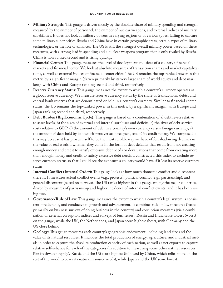- **Military Strength:** This gauge is driven mostly by the absolute share of military spending and strength measured by the number of personnel, the number of nuclear weapons, and external indices of military capabilities. It does not look at military powers in varying regions or of various types, failing to capture some military superiorities Russia and China have in certain geographic areas, certain types of military technologies, or the role of alliances. The US is still the strongest overall military power based on these measures, with a strong lead in spending and a nuclear weapons program that is only rivaled by Russia. China is now ranked second and is rising quickly.
- **Financial Center:** This gauge measures the level of development and sizes of a country's financial markets and financial center. We look at absolute measures of transaction shares and market capitalizations, as well as external indices of financial center cities. The US remains the top-ranked power in this metric by a significant margin (driven primarily by its very large share of world equity and debt markets), with China and Europe ranking second and third, respectively.
- **Reserve Currency Status:** This gauge measures the extent to which a country's currency operates as a global reserve currency. We measure reserve currency status by the share of transactions, debts, and central bank reserves that are denominated or held in a country's currency. Similar to financial center status, the US remains the top-ranked power in this metric by a significant margin, with Europe and Japan ranking second and third, respectively.
- **Debt Burden (Big Economic Cycle):** This gauge is based on a combination of a) debt levels relative to asset levels, b) the sizes of external and internal surpluses and deficits, c) the sizes of debt service costs relative to GDP, d) the amount of debt in a country's own currency versus foreign currency, e) the amount of debt held by its own citizens versus foreigners, and f) its credit rating. We composed it this way because it has proven itself to be the most reliable way we have of foreshadowing declines in the value of real wealth, whether they come in the form of debt defaults that result from not creating enough money and credit to satisfy excessive debt needs or devaluations that come from creating more than enough money and credit to satisfy excessive debt needs. I constructed this index to exclude reserve currency status so that I could see the exposure a country would have if it lost its reserve currency status.
- **Internal Conflict (Internal Order):** This gauge looks at how much domestic conflict and discontent there is. It measures actual conflict events (e.g., protests), political conflict (e.g., partisanship), and general discontent (based on surveys). The US ranks highest in this gauge among the major countries, driven by measures of partisanship and higher incidence of internal conflict events, and it has been rising fast.
- **Governance/Rule of Law:** This gauge measures the extent to which a country's legal system is consistent, predictable, and conducive to growth and advancement. It combines rule of law measures (based primarily on business surveys of doing business in the country) and corruption measures (via a combination of external corruption indices and surveys of businesses). Russia and India score lowest (worst) on the gauge, while the UK, the Netherlands, and Japan score highest (best), with Germany and the US close behind.
- **Geology:** This gauge measures each country's geographic endowment, including land size and the value of its natural resources. It includes the total production of energy, agriculture, and industrial metals in order to capture the absolute production capacity of each nation, as well as net exports to capture relative self-reliance for each of the categories (in addition to measuring some other natural resources like freshwater supply). Russia and the US score highest (followed by China, which relies more on the rest of the world to cover its natural resource needs), while Japan and the UK score lowest.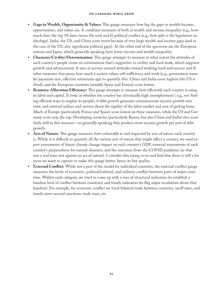- **Gaps in Wealth, Opportunity & Values:** This gauge measures how big the gaps in wealth/income, opportunities, and values are. It combines measures of both a) wealth and income inequality (e.g., how much does the top 1% have versus the rest) and b) political conflict (e.g., how split is the legislature on ideology). India, the US, and China score worst because of very large wealth and income gaps (and in the case of the US, also significant political gaps). At the other end of the spectrum are the European nations and Japan, which generally speaking have lower income and wealth inequality.
- **Character/Civility/Determination:** This gauge attempts to measure to what extent the attitudes of each country's people create an environment that's supportive to civility and hard work, which supports growth and advancement. It uses a) surveys around attitudes toward working hard and success and b) other measures that proxy how much a society values self-sufficiency and work (e.g., government transfer payments size, effective retirement age) to quantify this. China and India score highest (the US is third), and the European countries (notably Spain and France) score lowest.
- **Resource-Allocation Efficiency:** This gauge attempts to measure how efficiently each country is using its labor and capital. It looks at whether the country has chronically high unemployment ( e.g., not finding efficient ways to employ its people), if debt growth generates commensurate income growth over time, and external indices and surveys about the rigidity of the labor market and ease of getting loans. Much of Europe (particularly France and Spain) score lowest on these measures, while the US and Germany score near the top. Developing countries (particularly Russia, but also China and India) also score fairly well in this measure—as generally speaking they produce more income growth per unit of debt growth.
- Acts of Nature: This gauge measures how vulnerable to and impacted by acts of nature each country is. While it is difficult to quantify all the various acts of nature that might affect a country, we used expert assessments of future climate change impact on each country's GDP, external assessments of each country's preparedness for natural disasters, and the outcomes from the COVID pandemic (as that was a real-time test against an act of nature). I consider this rating so-so and find that there is still a lot more we want to capture to make this gauge better, hence its low quality.
- **External Conflict:** While not a part of the model for individual countries, the external conflict gauge measures the levels of economic, political/cultural, and military conflict between pairs of major countries. Within each category, we tried to come up with a mix of structural indicators (to establish a baseline level of conflict between countries) and timely indicators (to flag major escalations above that baseline). For example, for economic conflict we track bilateral trade between countries, tariff rates, and timely news around sanctions, trade wars, etc.